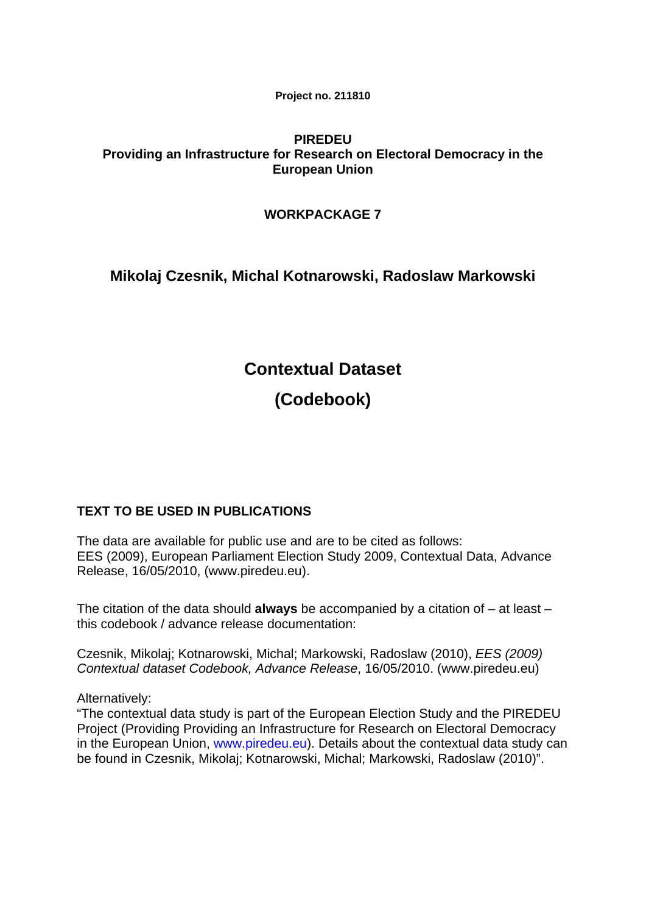**Project no. 211810** 

# **PIREDEU Providing an Infrastructure for Research on Electoral Democracy in the European Union**

# **WORKPACKAGE 7**

# **Mikolaj Czesnik, Michal Kotnarowski, Radoslaw Markowski**

# **Contextual Dataset (Codebook)**

# **TEXT TO BE USED IN PUBLICATIONS**

The data are available for public use and are to be cited as follows: EES (2009), European Parliament Election Study 2009, Contextual Data, Advance Release, 16/05/2010, [\(www.piredeu.eu\)](http://www.piredeu.eu)/).

The citation of the data should **always** be accompanied by a citation of – at least – this codebook / advance release documentation:

Czesnik, Mikolaj; Kotnarowski, Michal; Markowski, Radoslaw (2010), *EES (2009) Contextual dataset Codebook, Advance Release*, 16/05/2010. (www.piredeu.eu)

Alternatively:

"The contextual data study is part of the European Election Study and the PIREDEU Project (Providing Providing an Infrastructure for Research on Electoral Democracy in the European Union, [www.piredeu.eu\)](http://www.piredeu.eu/). Details about the contextual data study can be found in Czesnik, Mikolaj; Kotnarowski, Michal; Markowski, Radoslaw (2010)".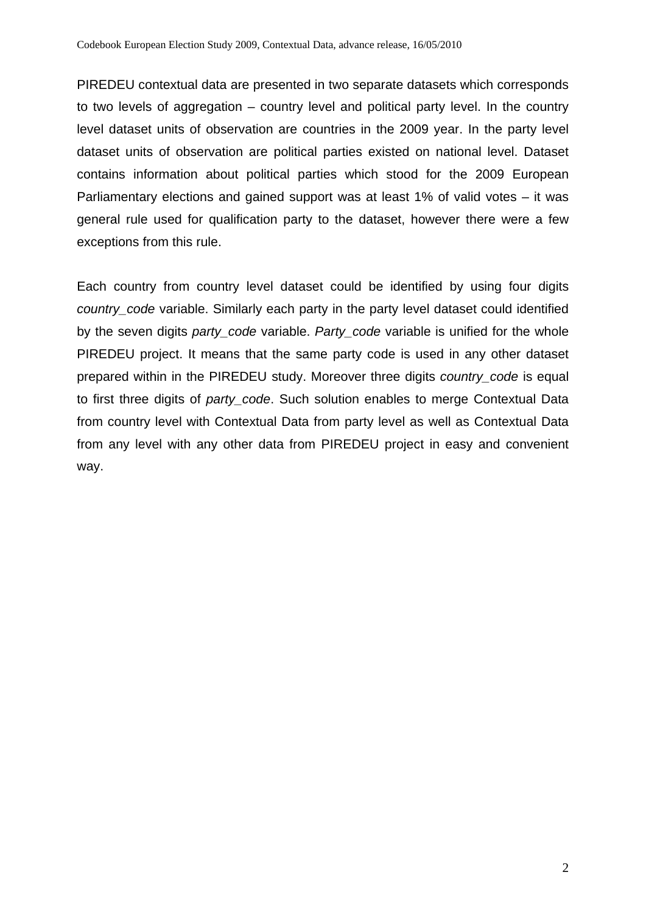PIREDEU contextual data are presented in two separate datasets which corresponds to two levels of aggregation – country level and political party level. In the country level dataset units of observation are countries in the 2009 year. In the party level dataset units of observation are political parties existed on national level. Dataset contains information about political parties which stood for the 2009 European Parliamentary elections and gained support was at least 1% of valid votes – it was general rule used for qualification party to the dataset, however there were a few exceptions from this rule.

Each country from country level dataset could be identified by using four digits *country* code variable. Similarly each party in the party level dataset could identified by the seven digits *party\_code* variable. *Party\_code* variable is unified for the whole PIREDEU project. It means that the same party code is used in any other dataset prepared within in the PIREDEU study. Moreover three digits *country\_code* is equal to first three digits of *party\_code*. Such solution enables to merge Contextual Data from country level with Contextual Data from party level as well as Contextual Data from any level with any other data from PIREDEU project in easy and convenient way.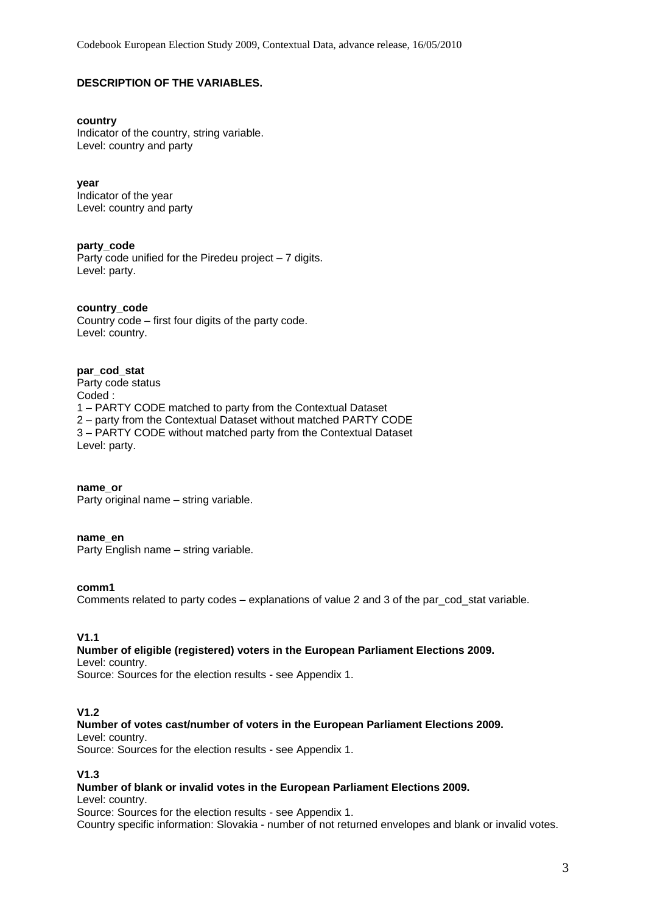# **DESCRIPTION OF THE VARIABLES.**

#### **country**

Indicator of the country, string variable. Level: country and party

**year** 

Indicator of the year Level: country and party

#### **party\_code**

Party code unified for the Piredeu project – 7 digits. Level: party.

#### **country\_code**

Country code – first four digits of the party code. Level: country.

#### **par\_cod\_stat**

Party code status Coded : 1 – PARTY CODE matched to party from the Contextual Dataset 2 – party from the Contextual Dataset without matched PARTY CODE 3 – PARTY CODE without matched party from the Contextual Dataset Level: party.

**name\_or**  Party original name – string variable.

#### **name\_en**

Party English name – string variable.

#### **comm1**

Comments related to party codes – explanations of value 2 and 3 of the par\_cod\_stat variable.

# **V1.1**

# **Number of eligible (registered) voters in the European Parliament Elections 2009.**

Level: country. Source: Sources for the election results - see Appendix 1.

# **V1.2**

#### **Number of votes cast/number of voters in the European Parliament Elections 2009.**

Level: country.

Source: Sources for the election results - see Appendix 1.

#### **V1.3**

# **Number of blank or invalid votes in the European Parliament Elections 2009.**

Level: country.

Source: Sources for the election results - see Appendix 1.

Country specific information: Slovakia - number of not returned envelopes and blank or invalid votes.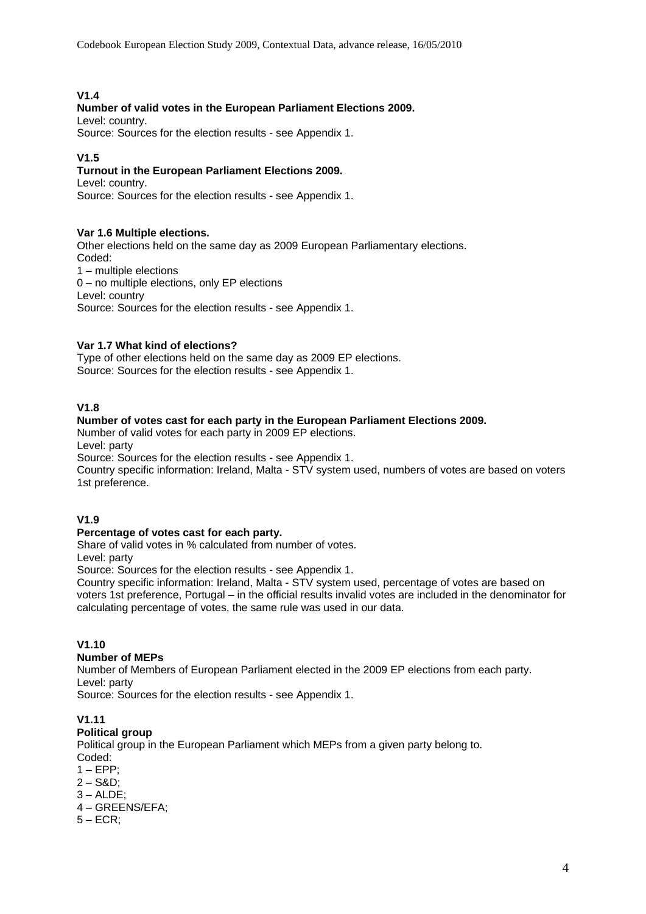# **V1.4**

# **Number of valid votes in the European Parliament Elections 2009.**

Level: country.

Source: Sources for the election results - see Appendix 1.

# **V1.5**

# **Turnout in the European Parliament Elections 2009.**

Level: country.

Source: Sources for the election results - see Appendix 1.

#### **Var 1.6 Multiple elections.**

Other elections held on the same day as 2009 European Parliamentary elections. Coded: 1 – multiple elections 0 – no multiple elections, only EP elections Level: country Source: Sources for the election results - see Appendix 1.

# **Var 1.7 What kind of elections?**

Type of other elections held on the same day as 2009 EP elections. Source: Sources for the election results - see Appendix 1.

# **V1.8**

# **Number of votes cast for each party in the European Parliament Elections 2009.**

Number of valid votes for each party in 2009 EP elections. Level: party Source: Sources for the election results - see Appendix 1.

Country specific information: Ireland, Malta - STV system used, numbers of votes are based on voters 1st preference.

# **V1.9**

# **Percentage of votes cast for each party.**

Share of valid votes in % calculated from number of votes. Level: party

Source: Sources for the election results - see Appendix 1.

Country specific information: Ireland, Malta - STV system used, percentage of votes are based on voters 1st preference, Portugal – in the official results invalid votes are included in the denominator for calculating percentage of votes, the same rule was used in our data.

# **V1.10**

# **Number of MEPs**

Number of Members of European Parliament elected in the 2009 EP elections from each party. Level: party

Source: Sources for the election results - see Appendix 1.

# **V1.11**

# **Political group**

Political group in the European Parliament which MEPs from a given party belong to. Coded:

- $1 EPP$ ;
- $2 S&D$
- $3 ALDE$ ;
- 4 GREENS/EFA;
- $5 ECR$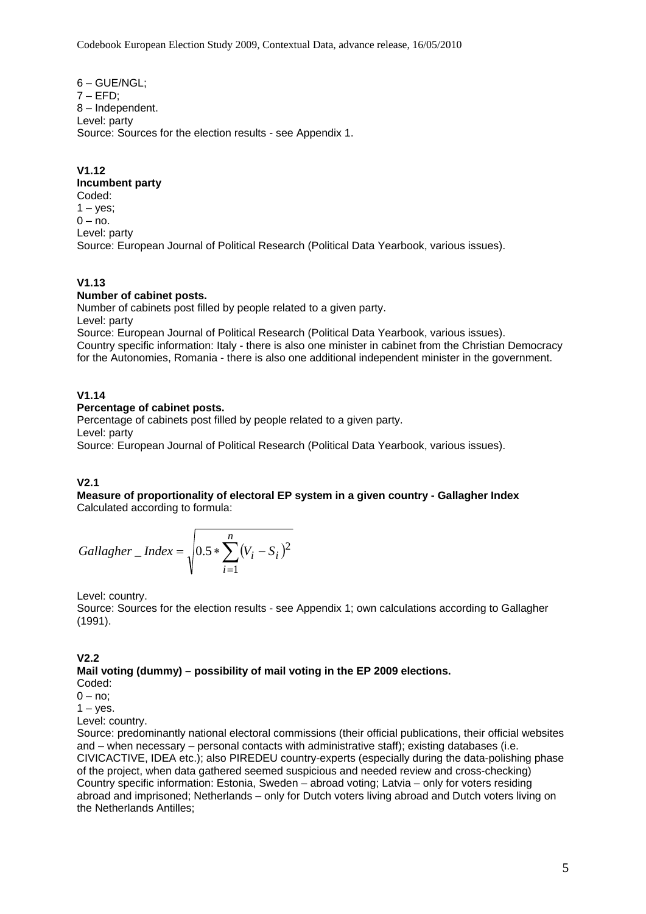6 – GUE/NGL;  $7 - EFD$ ; 8 – Independent. Level: party Source: Sources for the election results - see Appendix 1.

**V1.12** 

#### **Incumbent party**

Coded:  $1 - yes;$  $0 - no$ . Level: party Source: European Journal of Political Research (Political Data Yearbook, various issues).

# **V1.13**

#### **Number of cabinet posts.**

Number of cabinets post filled by people related to a given party. Level: party

Source: European Journal of Political Research (Political Data Yearbook, various issues). Country specific information: Italy - there is also one minister in cabinet from the Christian Democracy for the Autonomies, Romania - there is also one additional independent minister in the government.

#### **V1.14**

#### **Percentage of cabinet posts.**

Percentage of cabinets post filled by people related to a given party. Level: party

Source: European Journal of Political Research (Political Data Yearbook, various issues).

# **V2.1**

**Measure of proportionality of electoral EP system in a given country - Gallagher Index**  Calculated according to formula:

$$
Gallagher\_Index = \sqrt{0.5 * \sum_{i=1}^{n} (V_i - S_i)^2}
$$

Level: country.

Source: Sources for the election results - see Appendix 1; own calculations according to Gallagher (1991).

**V2.2 Mail voting (dummy) – possibility of mail voting in the EP 2009 elections.** 

Coded:

 $0 - no$ :

 $1 - yes$ .

Level: country.

Source: predominantly national electoral commissions (their official publications, their official websites and – when necessary – personal contacts with administrative staff); existing databases (i.e. CIVICACTIVE, IDEA etc.); also PIREDEU country-experts (especially during the data-polishing phase of the project, when data gathered seemed suspicious and needed review and cross-checking) Country specific information: Estonia, Sweden – abroad voting; Latvia – only for voters residing abroad and imprisoned; Netherlands – only for Dutch voters living abroad and Dutch voters living on the Netherlands Antilles;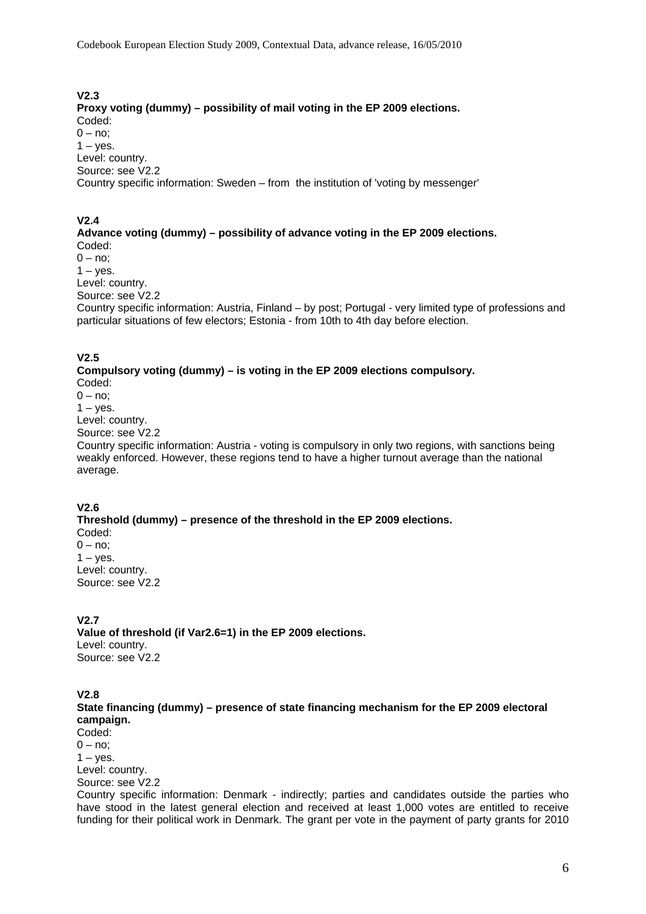#### **V2.3**

**Proxy voting (dummy) – possibility of mail voting in the EP 2009 elections.**  Coded:  $0 - no$ ;  $1 - y$ es. Level: country. Source: see V2.2 Country specific information: Sweden – from the institution of 'voting by messenger'

#### **V2.4**

#### **Advance voting (dummy) – possibility of advance voting in the EP 2009 elections.**  Coded:

 $0 - no$  $1 - v$ es.

Level: country.

Source: see V2.2

Country specific information: Austria, Finland – by post; Portugal - very limited type of professions and particular situations of few electors; Estonia - from 10th to 4th day before election.

#### **V2.5**

**Compulsory voting (dummy) – is voting in the EP 2009 elections compulsory.**  Coded:  $0 - no$ 

 $1 - v$ es. Level: country.

Source: see V2.2

Country specific information: Austria - voting is compulsory in only two regions, with sanctions being weakly enforced. However, these regions tend to have a higher turnout average than the national average.

#### **V2.6**

**Threshold (dummy) – presence of the threshold in the EP 2009 elections.**  Coded:  $0 - no$ :  $1 - v$ es. Level: country. Source: see V2.2

# **V2.7**

**Value of threshold (if Var2.6=1) in the EP 2009 elections.**  Level: country. Source: see V2.2

#### **V2.8**

**State financing (dummy) – presence of state financing mechanism for the EP 2009 electoral campaign.** 

Coded:  $0 - no$ :  $1 - v$ es.

Level: country.

Source: see V2.2

Country specific information: Denmark - indirectly; parties and candidates outside the parties who have stood in the latest general election and received at least 1,000 votes are entitled to receive funding for their political work in Denmark. The grant per vote in the payment of party grants for 2010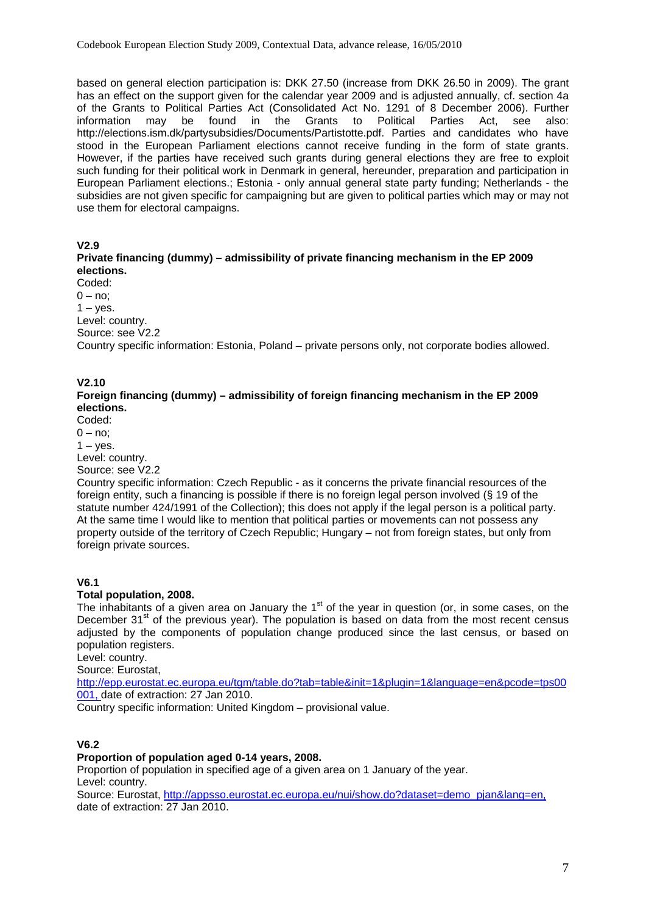based on general election participation is: DKK 27.50 (increase from DKK 26.50 in 2009). The grant has an effect on the support given for the calendar year 2009 and is adjusted annually, cf. section 4a of the Grants to Political Parties Act (Consolidated Act No. 1291 of 8 December 2006). Further information may be found in the Grants to Political Parties Act, see also: http://elections.ism.dk/partysubsidies/Documents/Partistotte.pdf. Parties and candidates who have stood in the European Parliament elections cannot receive funding in the form of state grants. However, if the parties have received such grants during general elections they are free to exploit such funding for their political work in Denmark in general, hereunder, preparation and participation in European Parliament elections.; Estonia - only annual general state party funding; Netherlands - the subsidies are not given specific for campaigning but are given to political parties which may or may not use them for electoral campaigns.

#### **V2.9**

**Private financing (dummy) – admissibility of private financing mechanism in the EP 2009 elections.** 

Coded:  $0 - no$ :  $1 - \mathrm{ves}$ . Level: country. Source: see V2.2

Country specific information: Estonia, Poland – private persons only, not corporate bodies allowed.

# **V2.10**

#### **Foreign financing (dummy) – admissibility of foreign financing mechanism in the EP 2009 elections.**

Coded:

 $0 - no$ :

 $1 - y$ es.

Level: country. Source: see V2.2

Country specific information: Czech Republic - as it concerns the private financial resources of the foreign entity, such a financing is possible if there is no foreign legal person involved (§ 19 of the statute number 424/1991 of the Collection); this does not apply if the legal person is a political party. At the same time I would like to mention that political parties or movements can not possess any property outside of the territory of Czech Republic; Hungary – not from foreign states, but only from foreign private sources.

# **V6.1**

#### **Total population, 2008.**

The inhabitants of a given area on January the  $1<sup>st</sup>$  of the year in question (or, in some cases, on the December  $31<sup>st</sup>$  of the previous year). The population is based on data from the most recent census adjusted by the components of population change produced since the last census, or based on population registers.

Level: country.

Source: Eurostat,

[http://epp.eurostat.ec.europa.eu/tgm/table.do?tab=table&init=1&plugin=1&language=en&pcode=tps00](http://epp.eurostat.ec.europa.eu/tgm/table.do?tab=table&init=1&plugin=1&language=en&pcode=tps00001) [001,](http://epp.eurostat.ec.europa.eu/tgm/table.do?tab=table&init=1&plugin=1&language=en&pcode=tps00001) date of extraction: 27 Jan 2010.

Country specific information: United Kingdom – provisional value.

# **V6.2**

#### **Proportion of population aged 0-14 years, 2008.**

Proportion of population in specified age of a given area on 1 January of the year. Level: country.

Source: Eurostat, [http://appsso.eurostat.ec.europa.eu/nui/show.do?dataset=demo\\_pjan&lang=en,](http://appsso.eurostat.ec.europa.eu/nui/show.do?dataset=demo_pjan&lang=en) date of extraction: 27 Jan 2010.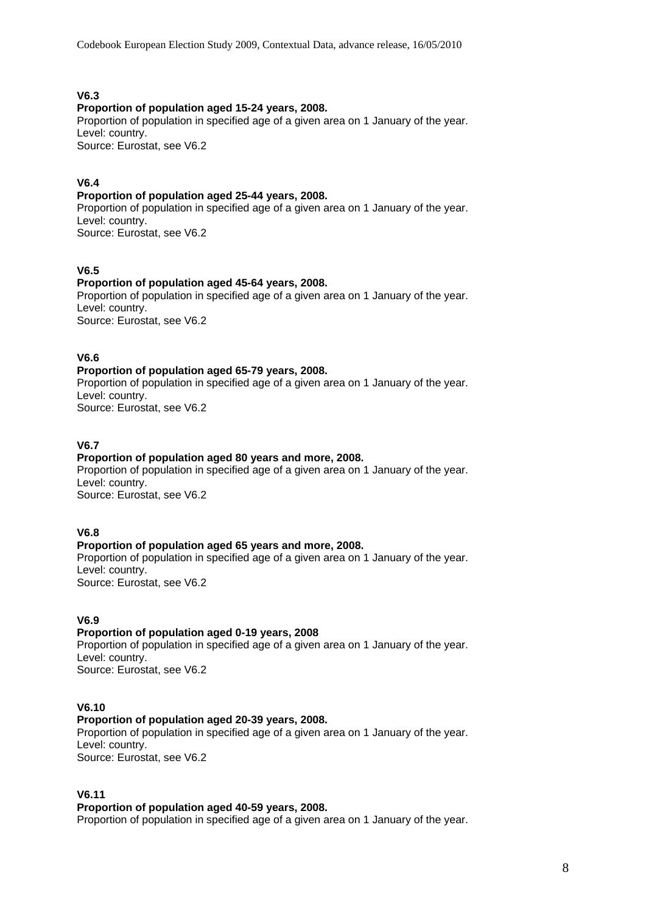Codebook European Election Study 2009, Contextual Data, advance release, 16/05/2010

# **V6.3**

#### **Proportion of population aged 15-24 years, 2008.**

Proportion of population in specified age of a given area on 1 January of the year. Level: country.

Source: Eurostat, see V6.2

# **V6.4**

# **Proportion of population aged 25-44 years, 2008.**

Proportion of population in specified age of a given area on 1 January of the year. Level: country.

Source: Eurostat, see V6.2

# **V6.5**

# **Proportion of population aged 45-64 years, 2008.**

Proportion of population in specified age of a given area on 1 January of the year. Level: country. Source: Eurostat, see V6.2

# **V6.6**

#### **Proportion of population aged 65-79 years, 2008.**

Proportion of population in specified age of a given area on 1 January of the year. Level: country. Source: Eurostat, see V6.2

# **V6.7**

# **Proportion of population aged 80 years and more, 2008.**

Proportion of population in specified age of a given area on 1 January of the year. Level: country. Source: Eurostat, see V6.2

# **V6.8**

# **Proportion of population aged 65 years and more, 2008.**

Proportion of population in specified age of a given area on 1 January of the year. Level: country. Source: Eurostat, see V6.2

# **V6.9**

# **Proportion of population aged 0-19 years, 2008**

Proportion of population in specified age of a given area on 1 January of the year. Level: country. Source: Eurostat, see V6.2

# **V6.10**

# **Proportion of population aged 20-39 years, 2008.**

Proportion of population in specified age of a given area on 1 January of the year. Level: country. Source: Eurostat, see V6.2

# **V6.11**

#### **Proportion of population aged 40-59 years, 2008.**

Proportion of population in specified age of a given area on 1 January of the year.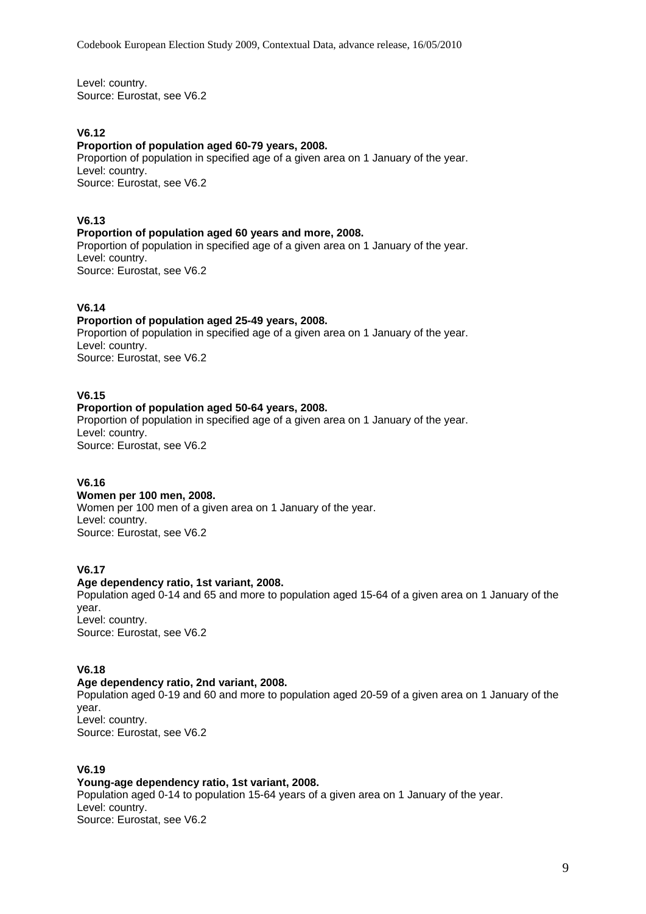Level: country. Source: Eurostat, see V6.2

# **V6.12**

#### **Proportion of population aged 60-79 years, 2008.**

Proportion of population in specified age of a given area on 1 January of the year. Level: country. Source: Eurostat, see V6.2

# **V6.13**

#### **Proportion of population aged 60 years and more, 2008.**

Proportion of population in specified age of a given area on 1 January of the year. Level: country. Source: Eurostat, see V6.2

**V6.14** 

#### **Proportion of population aged 25-49 years, 2008.**

Proportion of population in specified age of a given area on 1 January of the year. Level: country. Source: Eurostat, see V6.2

#### **V6.15**

#### **Proportion of population aged 50-64 years, 2008.**

Proportion of population in specified age of a given area on 1 January of the year. Level: country. Source: Eurostat, see V6.2

# **V6.16**

#### **Women per 100 men, 2008.**

Women per 100 men of a given area on 1 January of the year. Level: country. Source: Eurostat, see V6.2

# **V6.17**

#### **Age dependency ratio, 1st variant, 2008.**

Population aged 0-14 and 65 and more to population aged 15-64 of a given area on 1 January of the year. Level: country.

Source: Eurostat, see V6.2

# **V6.18**

# **Age dependency ratio, 2nd variant, 2008.**

Population aged 0-19 and 60 and more to population aged 20-59 of a given area on 1 January of the year. Level: country.

Source: Eurostat, see V6.2

# **V6.19**

## **Young-age dependency ratio, 1st variant, 2008.**

Population aged 0-14 to population 15-64 years of a given area on 1 January of the year. Level: country. Source: Eurostat, see V6.2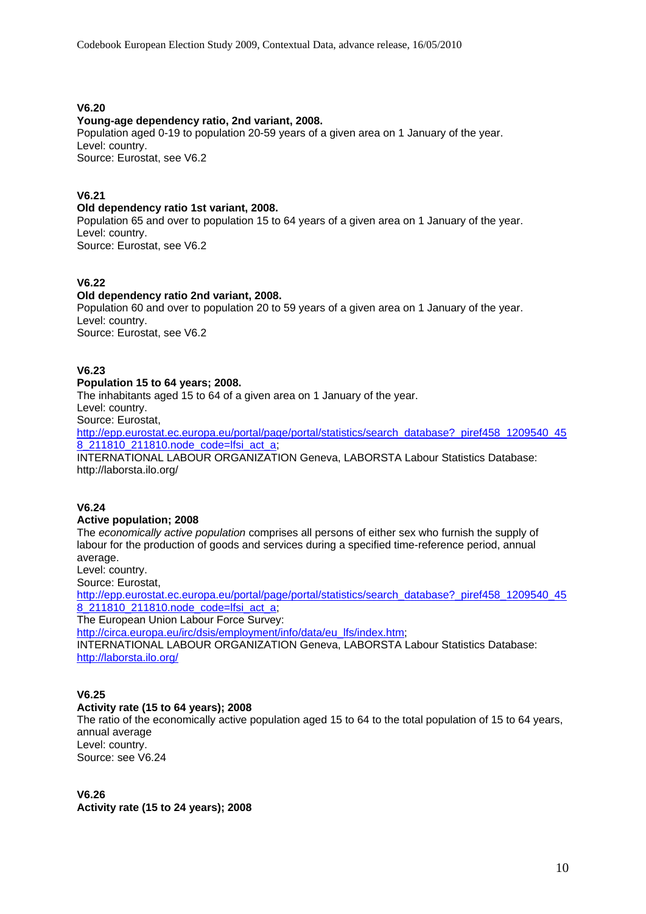## **V6.20**

#### **Young-age dependency ratio, 2nd variant, 2008.**

Population aged 0-19 to population 20-59 years of a given area on 1 January of the year. Level: country. Source: Eurostat, see V6.2

#### **V6.21**

# **Old dependency ratio 1st variant, 2008.**

Population 65 and over to population 15 to 64 years of a given area on 1 January of the year. Level: country. Source: Eurostat, see V6.2

# **V6.22**

#### **Old dependency ratio 2nd variant, 2008.**

Population 60 and over to population 20 to 59 years of a given area on 1 January of the year. Level: country. Source: Eurostat, see V6.2

#### **V6.23**

#### **Population 15 to 64 years; 2008.**

The inhabitants aged 15 to 64 of a given area on 1 January of the year.

Level: country.

Source: Eurostat,

[http://epp.eurostat.ec.europa.eu/portal/page/portal/statistics/search\\_database?\\_piref458\\_1209540\\_45](http://epp.eurostat.ec.europa.eu/portal/page/portal/statistics/search_database?_piref458_1209540_458_211810_211810.node_code=lfsi_act_a) [8\\_211810\\_211810.node\\_code=lfsi\\_act\\_a;](http://epp.eurostat.ec.europa.eu/portal/page/portal/statistics/search_database?_piref458_1209540_458_211810_211810.node_code=lfsi_act_a)

INTERNATIONAL LABOUR ORGANIZATION Geneva, LABORSTA Labour Statistics Database: http://laborsta.ilo.org/

#### **V6.24**

#### **Active population; 2008**

The *economically active population* comprises all persons of either sex who furnish the supply of labour for the production of goods and services during a specified time-reference period, annual average.

Level: country.

Source: Eurostat,

http://epp.eurostat.ec.europa.eu/portal/page/portal/statistics/search\_database? piref458\_1209540\_45 [8\\_211810\\_211810.node\\_code=lfsi\\_act\\_a;](http://epp.eurostat.ec.europa.eu/portal/page/portal/statistics/search_database?_piref458_1209540_458_211810_211810.node_code=lfsi_act_a)

The European Union Labour Force Survey:

[http://circa.europa.eu/irc/dsis/employment/info/data/eu\\_lfs/index.htm;](http://circa.europa.eu/irc/dsis/employment/info/data/eu_lfs/index.htm) INTERNATIONAL LABOUR ORGANIZATION Geneva, LABORSTA Labour Statistics Database: <http://laborsta.ilo.org/>

# **V6.25**

# **Activity rate (15 to 64 years); 2008**

The ratio of the economically active population aged 15 to 64 to the total population of 15 to 64 years, annual average Level: country.

Source: see V6.24

**V6.26 Activity rate (15 to 24 years); 2008**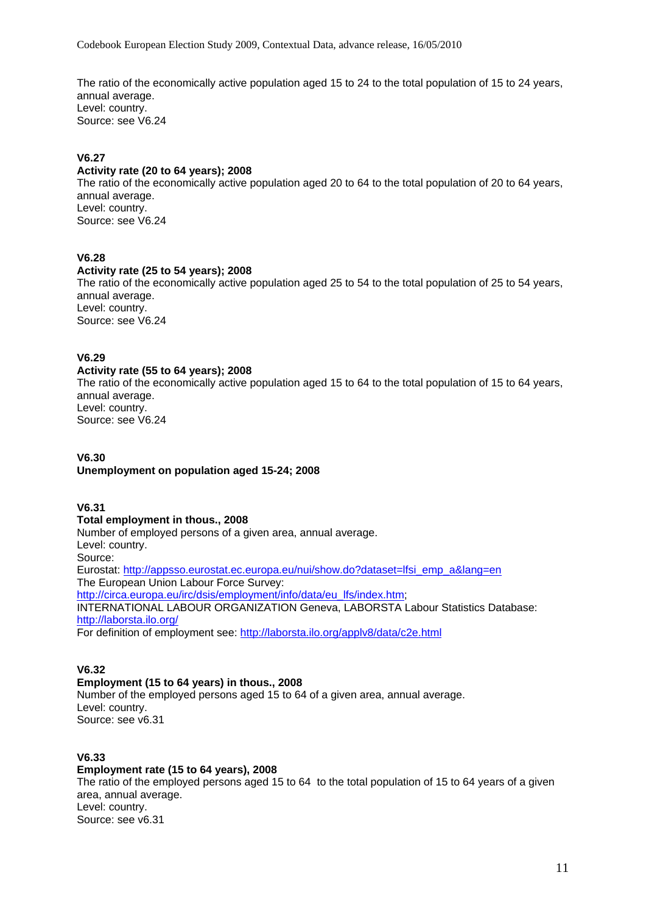Codebook European Election Study 2009, Contextual Data, advance release, 16/05/2010

The ratio of the economically active population aged 15 to 24 to the total population of 15 to 24 years, annual average. Level: country. Source: see V6.24

# **V6.27**

#### **Activity rate (20 to 64 years); 2008**

The ratio of the economically active population aged 20 to 64 to the total population of 20 to 64 years, annual average. Level: country. Source: see V6.24

# **V6.28**

# **Activity rate (25 to 54 years); 2008**

The ratio of the economically active population aged 25 to 54 to the total population of 25 to 54 years, annual average. Level: country. Source: see V6.24

#### **V6.29**

#### **Activity rate (55 to 64 years); 2008**

The ratio of the economically active population aged 15 to 64 to the total population of 15 to 64 years, annual average. Level: country. Source: see V6.24

# **V6.30**

# **Unemployment on population aged 15-24; 2008**

#### **V6.31**

#### **Total employment in thous., 2008**

Number of employed persons of a given area, annual average. Level: country. Source: Eurostat: [http://appsso.eurostat.ec.europa.eu/nui/show.do?dataset=lfsi\\_emp\\_a&lang=en](http://appsso.eurostat.ec.europa.eu/nui/show.do?dataset=lfsi_emp_a&lang=en) The European Union Labour Force Survey: [http://circa.europa.eu/irc/dsis/employment/info/data/eu\\_lfs/index.htm;](http://circa.europa.eu/irc/dsis/employment/info/data/eu_lfs/index.htm) INTERNATIONAL LABOUR ORGANIZATION Geneva, LABORSTA Labour Statistics Database: <http://laborsta.ilo.org/> For definition of employment see: <http://laborsta.ilo.org/applv8/data/c2e.html>

# **V6.32**

# **Employment (15 to 64 years) in thous., 2008**

Number of the employed persons aged 15 to 64 of a given area, annual average. Level: country. Source: see v6.31

#### **V6.33**

# **Employment rate (15 to 64 years), 2008**

The ratio of the employed persons aged 15 to 64 to the total population of 15 to 64 years of a given area, annual average. Level: country. Source: see v6.31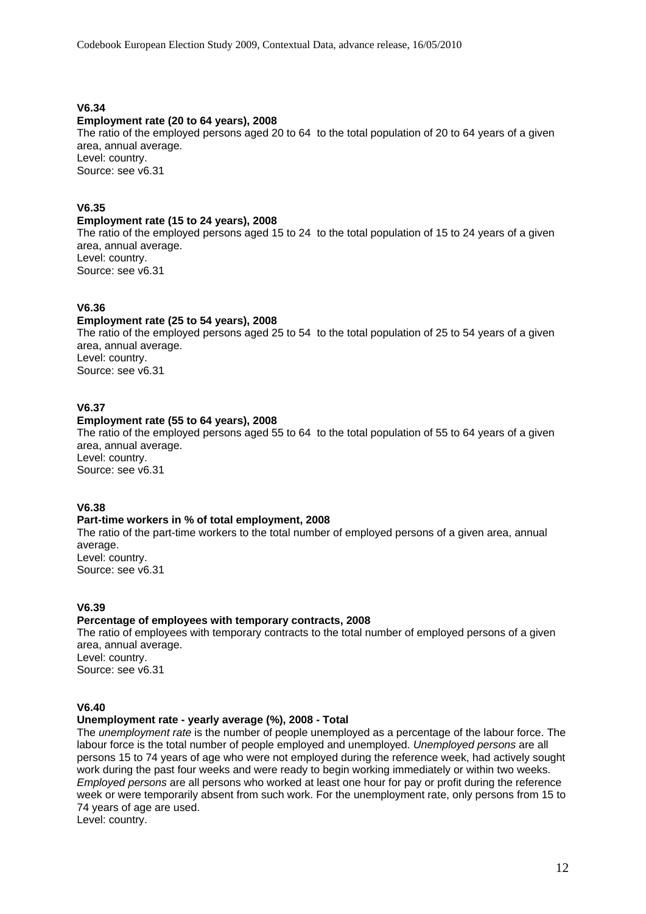#### **V6.34**

#### **Employment rate (20 to 64 years), 2008**

The ratio of the employed persons aged 20 to 64 to the total population of 20 to 64 years of a given area, annual average. Level: country. Source: see v6.31

# **V6.35**

#### **Employment rate (15 to 24 years), 2008**

The ratio of the employed persons aged 15 to 24 to the total population of 15 to 24 years of a given area, annual average. Level: country. Source: see v6.31

#### **V6.36**

#### **Employment rate (25 to 54 years), 2008**

The ratio of the employed persons aged 25 to 54 to the total population of 25 to 54 years of a given area, annual average. Level: country. Source: see v6.31

#### **V6.37**

#### **Employment rate (55 to 64 years), 2008**

The ratio of the employed persons aged 55 to 64 to the total population of 55 to 64 years of a given area, annual average.

Level: country. Source: see v6.31

#### **V6.38**

#### **Part-time workers in % of total employment, 2008**

The ratio of the part-time workers to the total number of employed persons of a given area, annual average. Level: country. Source: see v6.31

#### **V6.39**

#### **Percentage of employees with temporary contracts, 2008**

The ratio of employees with temporary contracts to the total number of employed persons of a given area, annual average. Level: country. Source: see v6.31

#### **V6.40**

# **Unemployment rate - yearly average (%), 2008 - Total**

The *unemployment rate* is the number of people unemployed as a percentage of the labour force. The labour force is the total number of people employed and unemployed. *Unemployed persons* are all persons 15 to 74 years of age who were not employed during the reference week, had actively sought work during the past four weeks and were ready to begin working immediately or within two weeks. *Employed persons* are all persons who worked at least one hour for pay or profit during the reference week or were temporarily absent from such work. For the unemployment rate, only persons from 15 to 74 years of age are used.

Level: country.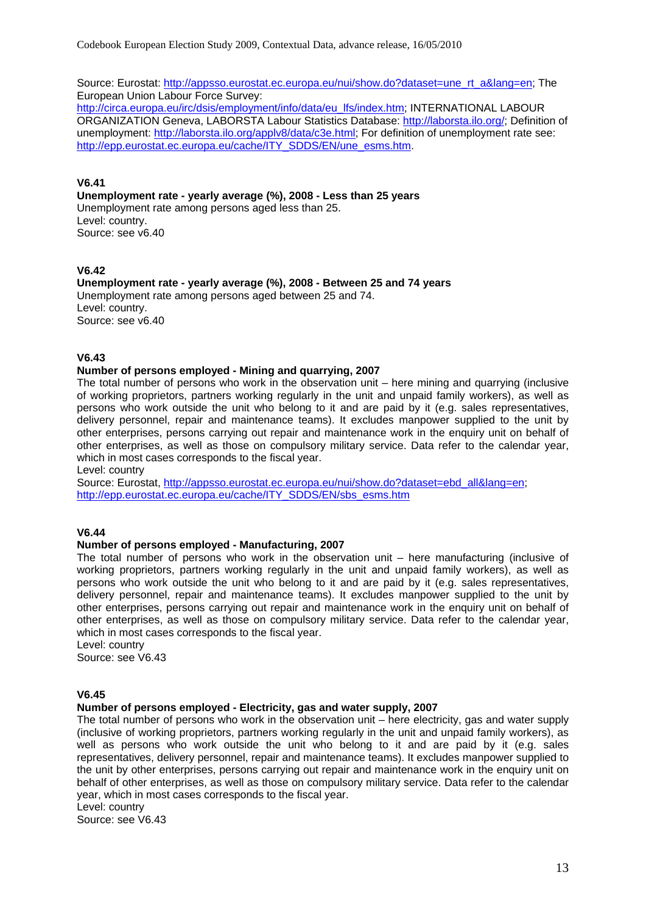Source: Eurostat: [http://appsso.eurostat.ec.europa.eu/nui/show.do?dataset=une\\_rt\\_a&lang=en;](http://appsso.eurostat.ec.europa.eu/nui/show.do?dataset=une_rt_a&lang=en) The European Union Labour Force Survey:

[http://circa.europa.eu/irc/dsis/employment/info/data/eu\\_lfs/index.htm;](http://circa.europa.eu/irc/dsis/employment/info/data/eu_lfs/index.htm) INTERNATIONAL LABOUR ORGANIZATION Geneva, LABORSTA Labour Statistics Database: <http://laborsta.ilo.org/>; Definition of unemployment: [http://laborsta.ilo.org/applv8/data/c3e.html;](http://laborsta.ilo.org/applv8/data/c3e.html) For definition of unemployment rate see: [http://epp.eurostat.ec.europa.eu/cache/ITY\\_SDDS/EN/une\\_esms.htm.](http://epp.eurostat.ec.europa.eu/cache/ITY_SDDS/EN/une_esms.htm)

#### **V6.41**

**Unemployment rate - yearly average (%), 2008 - Less than 25 years**  Unemployment rate among persons aged less than 25. Level: country. Source: see v6.40

#### **V6.42**

**Unemployment rate - yearly average (%), 2008 - Between 25 and 74 years**  Unemployment rate among persons aged between 25 and 74. Level: country. Source: see v6.40

#### **V6.43**

#### **Number of persons employed - Mining and quarrying, 2007**

The total number of persons who work in the observation unit – here mining and quarrying (inclusive of working proprietors, partners working regularly in the unit and unpaid family workers), as well as persons who work outside the unit who belong to it and are paid by it (e.g. sales representatives, delivery personnel, repair and maintenance teams). It excludes manpower supplied to the unit by other enterprises, persons carrying out repair and maintenance work in the enquiry unit on behalf of other enterprises, as well as those on compulsory military service. Data refer to the calendar year, which in most cases corresponds to the fiscal year.

Level: country

Source: Eurostat, [http://appsso.eurostat.ec.europa.eu/nui/show.do?dataset=ebd\\_all&lang=en;](http://appsso.eurostat.ec.europa.eu/nui/show.do?dataset=ebd_all&lang=en) [http://epp.eurostat.ec.europa.eu/cache/ITY\\_SDDS/EN/sbs\\_esms.htm](http://epp.eurostat.ec.europa.eu/cache/ITY_SDDS/EN/sbs_esms.htm)

# **V6.44**

#### **Number of persons employed - Manufacturing, 2007**

The total number of persons who work in the observation unit – here manufacturing (inclusive of working proprietors, partners working regularly in the unit and unpaid family workers), as well as persons who work outside the unit who belong to it and are paid by it (e.g. sales representatives, delivery personnel, repair and maintenance teams). It excludes manpower supplied to the unit by other enterprises, persons carrying out repair and maintenance work in the enquiry unit on behalf of other enterprises, as well as those on compulsory military service. Data refer to the calendar year, which in most cases corresponds to the fiscal year.

Level: country Source: see V6.43

#### **V6.45**

#### **Number of persons employed - Electricity, gas and water supply, 2007**

The total number of persons who work in the observation unit – here electricity, gas and water supply (inclusive of working proprietors, partners working regularly in the unit and unpaid family workers), as well as persons who work outside the unit who belong to it and are paid by it (e.g. sales representatives, delivery personnel, repair and maintenance teams). It excludes manpower supplied to the unit by other enterprises, persons carrying out repair and maintenance work in the enquiry unit on behalf of other enterprises, as well as those on compulsory military service. Data refer to the calendar year, which in most cases corresponds to the fiscal year.

Level: country

Source: see V6.43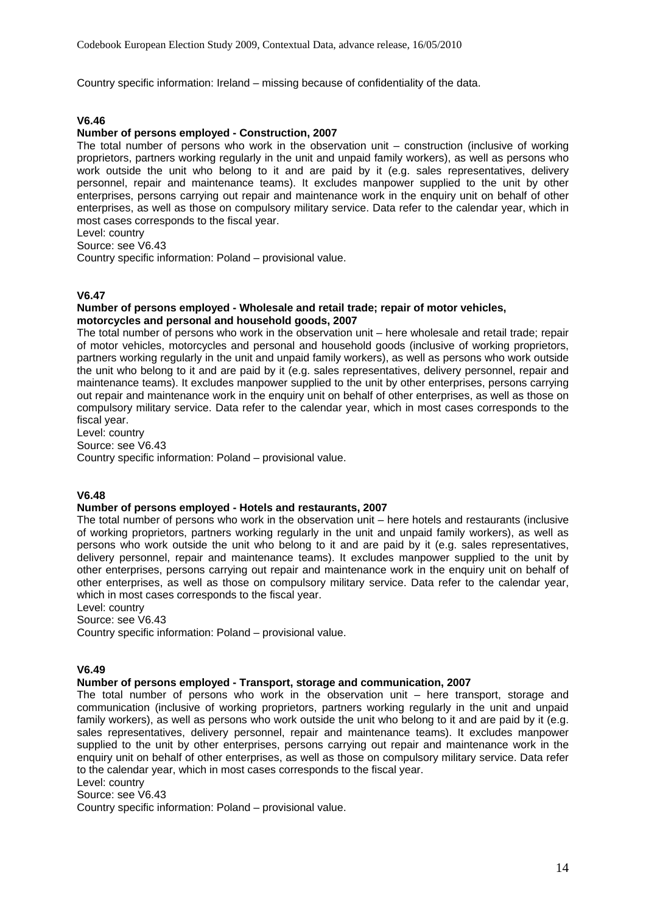Country specific information: Ireland – missing because of confidentiality of the data.

#### **V6.46**

#### **Number of persons employed - Construction, 2007**

The total number of persons who work in the observation unit – construction (inclusive of working proprietors, partners working regularly in the unit and unpaid family workers), as well as persons who work outside the unit who belong to it and are paid by it (e.g. sales representatives, delivery personnel, repair and maintenance teams). It excludes manpower supplied to the unit by other enterprises, persons carrying out repair and maintenance work in the enquiry unit on behalf of other enterprises, as well as those on compulsory military service. Data refer to the calendar year, which in most cases corresponds to the fiscal year.

Level: country

Source: see V6.43

Country specific information: Poland – provisional value.

#### **V6.47**

#### **Number of persons employed - Wholesale and retail trade; repair of motor vehicles, motorcycles and personal and household goods, 2007**

The total number of persons who work in the observation unit – here wholesale and retail trade; repair of motor vehicles, motorcycles and personal and household goods (inclusive of working proprietors, partners working regularly in the unit and unpaid family workers), as well as persons who work outside the unit who belong to it and are paid by it (e.g. sales representatives, delivery personnel, repair and maintenance teams). It excludes manpower supplied to the unit by other enterprises, persons carrying out repair and maintenance work in the enquiry unit on behalf of other enterprises, as well as those on compulsory military service. Data refer to the calendar year, which in most cases corresponds to the fiscal year.

Level: country Source: see V6.43 Country specific information: Poland – provisional value.

#### **V6.48**

#### **Number of persons employed - Hotels and restaurants, 2007**

The total number of persons who work in the observation unit – here hotels and restaurants (inclusive of working proprietors, partners working regularly in the unit and unpaid family workers), as well as persons who work outside the unit who belong to it and are paid by it (e.g. sales representatives, delivery personnel, repair and maintenance teams). It excludes manpower supplied to the unit by other enterprises, persons carrying out repair and maintenance work in the enquiry unit on behalf of other enterprises, as well as those on compulsory military service. Data refer to the calendar year, which in most cases corresponds to the fiscal year.

Level: country

Source: see V6.43

Country specific information: Poland – provisional value.

# **V6.49**

#### **Number of persons employed - Transport, storage and communication, 2007**

The total number of persons who work in the observation unit – here transport, storage and communication (inclusive of working proprietors, partners working regularly in the unit and unpaid family workers), as well as persons who work outside the unit who belong to it and are paid by it (e.g. sales representatives, delivery personnel, repair and maintenance teams). It excludes manpower supplied to the unit by other enterprises, persons carrying out repair and maintenance work in the enquiry unit on behalf of other enterprises, as well as those on compulsory military service. Data refer to the calendar year, which in most cases corresponds to the fiscal year.

# Level: country

Source: see V6.43

Country specific information: Poland – provisional value.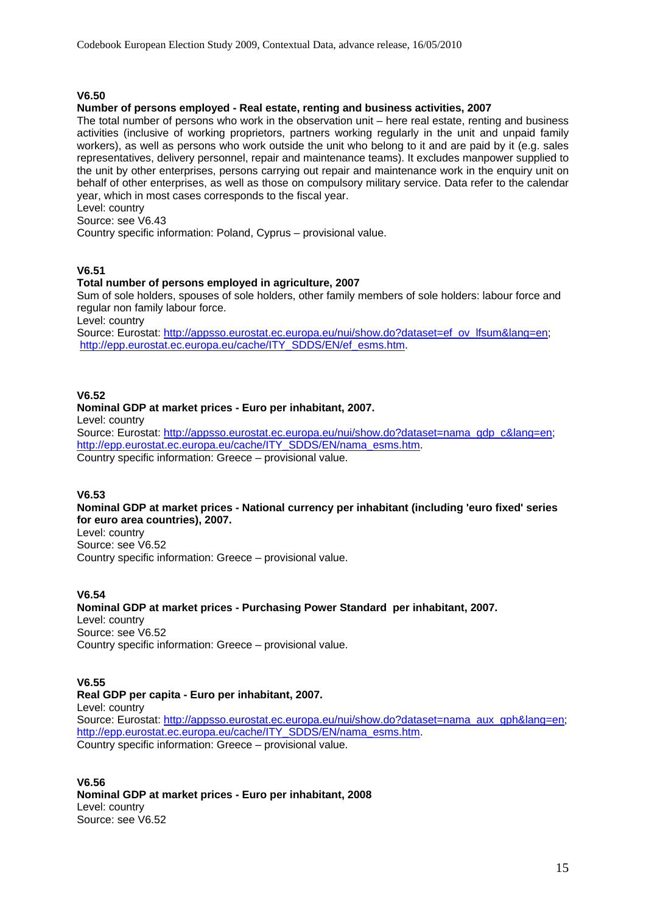# **V6.50**

#### **Number of persons employed - Real estate, renting and business activities, 2007**

The total number of persons who work in the observation unit – here real estate, renting and business activities (inclusive of working proprietors, partners working regularly in the unit and unpaid family workers), as well as persons who work outside the unit who belong to it and are paid by it (e.g. sales representatives, delivery personnel, repair and maintenance teams). It excludes manpower supplied to the unit by other enterprises, persons carrying out repair and maintenance work in the enquiry unit on behalf of other enterprises, as well as those on compulsory military service. Data refer to the calendar year, which in most cases corresponds to the fiscal year.

Level: country

Source: see V6.43

Country specific information: Poland, Cyprus – provisional value.

#### **V6.51**

#### **Total number of persons employed in agriculture, 2007**

Sum of sole holders, spouses of sole holders, other family members of sole holders: labour force and regular non family labour force.

Level: country

Source: Eurostat: [http://appsso.eurostat.ec.europa.eu/nui/show.do?dataset=ef\\_ov\\_lfsum&lang=en](http://appsso.eurostat.ec.europa.eu/nui/show.do?dataset=ef_ov_lfsum&lang=en); [http://epp.eurostat.ec.europa.eu/cache/ITY\\_SDDS/EN/ef\\_esms.htm](http://epp.eurostat.ec.europa.eu/cache/ITY_SDDS/EN/ef_esms.htm).

#### **V6.52**

#### **Nominal GDP at market prices - Euro per inhabitant, 2007.**

Level: country

Source: Eurostat: [http://appsso.eurostat.ec.europa.eu/nui/show.do?dataset=nama\\_gdp\\_c&lang=en](http://appsso.eurostat.ec.europa.eu/nui/show.do?dataset=nama_gdp_c&lang=en); [http://epp.eurostat.ec.europa.eu/cache/ITY\\_SDDS/EN/nama\\_esms.htm](http://epp.eurostat.ec.europa.eu/cache/ITY_SDDS/EN/nama_esms.htm). Country specific information: Greece – provisional value.

#### **V6.53**

# **Nominal GDP at market prices - National currency per inhabitant (including 'euro fixed' series for euro area countries), 2007.**

Level: country Source: see V6.52 Country specific information: Greece – provisional value.

#### **V6.54**

#### **Nominal GDP at market prices - Purchasing Power Standard per inhabitant, 2007.**  Level: country Source: see V6.52 Country specific information: Greece – provisional value.

**V6.55 Real GDP per capita - Euro per inhabitant, 2007.**  Level: country Source: Eurostat: [http://appsso.eurostat.ec.europa.eu/nui/show.do?dataset=nama\\_aux\\_gph&lang=en](http://appsso.eurostat.ec.europa.eu/nui/show.do?dataset=nama_aux_gph&lang=en); [http://epp.eurostat.ec.europa.eu/cache/ITY\\_SDDS/EN/nama\\_esms.htm](http://epp.eurostat.ec.europa.eu/cache/ITY_SDDS/EN/nama_esms.htm). Country specific information: Greece – provisional value.

**V6.56 Nominal GDP at market prices - Euro per inhabitant, 2008**  Level: country Source: see V6.52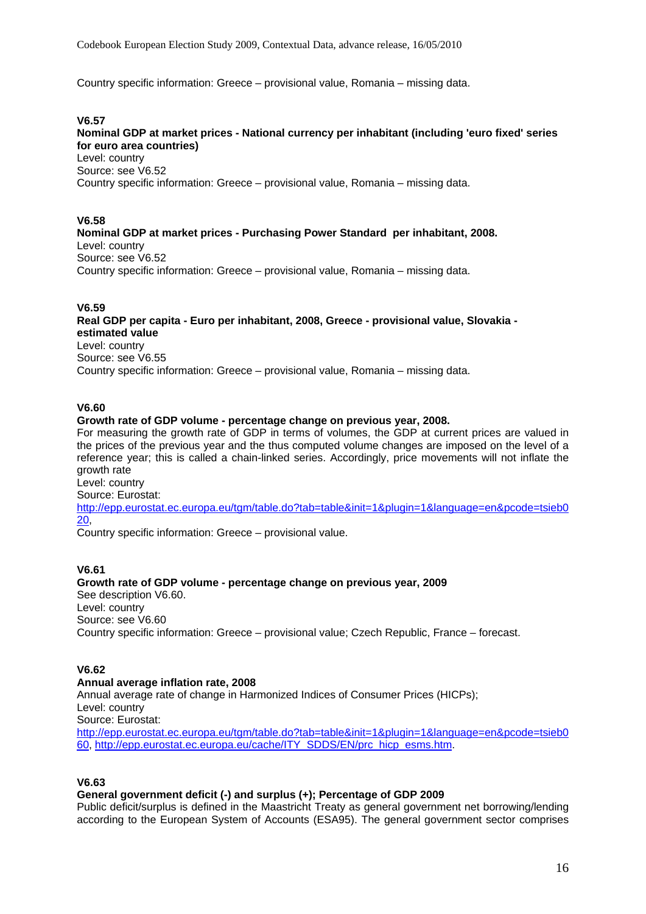Country specific information: Greece – provisional value, Romania – missing data.

#### **V6.57**

**Nominal GDP at market prices - National currency per inhabitant (including 'euro fixed' series for euro area countries)**  Level: country Source: see V6.52 Country specific information: Greece – provisional value, Romania – missing data.

# **V6.58**

**Nominal GDP at market prices - Purchasing Power Standard per inhabitant, 2008.**  Level: country Source: see V6.52 Country specific information: Greece – provisional value, Romania – missing data.

#### **V6.59**

**Real GDP per capita - Euro per inhabitant, 2008, Greece - provisional value, Slovakia estimated value**  Level: country Source: see V6.55 Country specific information: Greece – provisional value, Romania – missing data.

#### **V6.60**

#### **Growth rate of GDP volume - percentage change on previous year, 2008.**

For measuring the growth rate of GDP in terms of volumes, the GDP at current prices are valued in the prices of the previous year and the thus computed volume changes are imposed on the level of a reference year; this is called a chain-linked series. Accordingly, price movements will not inflate the growth rate

Level: country Source: Eurostat:

[http://epp.eurostat.ec.europa.eu/tgm/table.do?tab=table&init=1&plugin=1&language=en&pcode=tsieb0](http://epp.eurostat.ec.europa.eu/tgm/table.do?tab=table&init=1&plugin=1&language=en&pcode=tsieb020) [20](http://epp.eurostat.ec.europa.eu/tgm/table.do?tab=table&init=1&plugin=1&language=en&pcode=tsieb020),

Country specific information: Greece – provisional value.

## **V6.61**

#### **Growth rate of GDP volume - percentage change on previous year, 2009**

See description V6.60. Level: country Source: see V6.60 Country specific information: Greece – provisional value; Czech Republic, France – forecast.

# **V6.62**

#### **Annual average inflation rate, 2008**

Annual average rate of change in Harmonized Indices of Consumer Prices (HICPs); Level: country

Source: Eurostat:

[http://epp.eurostat.ec.europa.eu/tgm/table.do?tab=table&init=1&plugin=1&language=en&pcode=tsieb0](http://epp.eurostat.ec.europa.eu/tgm/table.do?tab=table&init=1&plugin=1&language=en&pcode=tsieb060) [60](http://epp.eurostat.ec.europa.eu/tgm/table.do?tab=table&init=1&plugin=1&language=en&pcode=tsieb060), [http://epp.eurostat.ec.europa.eu/cache/ITY\\_SDDS/EN/prc\\_hicp\\_esms.htm.](http://epp.eurostat.ec.europa.eu/cache/ITY_SDDS/EN/prc_hicp_esms.htm)

#### **V6.63**

#### **General government deficit (-) and surplus (+); Percentage of GDP 2009**

Public deficit/surplus is defined in the Maastricht Treaty as general government net borrowing/lending according to the European System of Accounts (ESA95). The general government sector comprises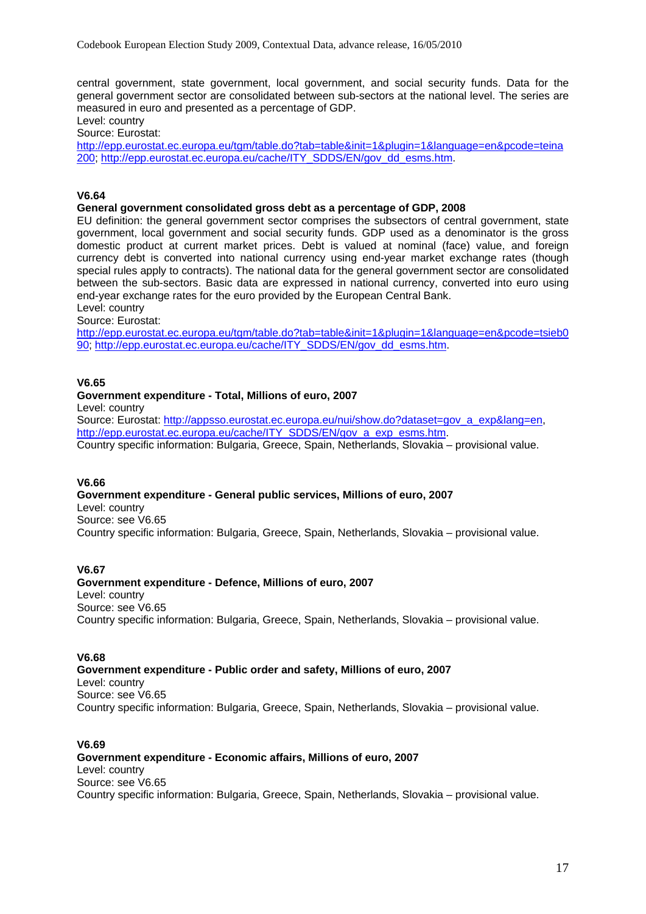central government, state government, local government, and social security funds. Data for the general government sector are consolidated between sub-sectors at the national level. The series are measured in euro and presented as a percentage of GDP.

Level: country

Source: Eurostat:

[http://epp.eurostat.ec.europa.eu/tgm/table.do?tab=table&init=1&plugin=1&language=en&pcode=teina](http://epp.eurostat.ec.europa.eu/tgm/table.do?tab=table&init=1&plugin=1&language=en&pcode=teina200) [200;](http://epp.eurostat.ec.europa.eu/tgm/table.do?tab=table&init=1&plugin=1&language=en&pcode=teina200) [http://epp.eurostat.ec.europa.eu/cache/ITY\\_SDDS/EN/gov\\_dd\\_esms.htm](http://epp.eurostat.ec.europa.eu/cache/ITY_SDDS/EN/gov_dd_esms.htm).

## **V6.64**

# **General government consolidated gross debt as a percentage of GDP, 2008**

EU definition: the general government sector comprises the subsectors of central government, state government, local government and social security funds. GDP used as a denominator is the gross domestic product at current market prices. Debt is valued at nominal (face) value, and foreign currency debt is converted into national currency using end-year market exchange rates (though special rules apply to contracts). The national data for the general government sector are consolidated between the sub-sectors. Basic data are expressed in national currency, converted into euro using end-year exchange rates for the euro provided by the European Central Bank.

Level: country

Source: Eurostat:

[http://epp.eurostat.ec.europa.eu/tgm/table.do?tab=table&init=1&plugin=1&language=en&pcode=tsieb0](http://epp.eurostat.ec.europa.eu/tgm/table.do?tab=table&init=1&plugin=1&language=en&pcode=tsieb090) [90](http://epp.eurostat.ec.europa.eu/tgm/table.do?tab=table&init=1&plugin=1&language=en&pcode=tsieb090); [http://epp.eurostat.ec.europa.eu/cache/ITY\\_SDDS/EN/gov\\_dd\\_esms.htm.](http://epp.eurostat.ec.europa.eu/cache/ITY_SDDS/EN/gov_dd_esms.htm)

# **V6.65**

#### **Government expenditure - Total, Millions of euro, 2007**

Level: country

Source: Eurostat: [http://appsso.eurostat.ec.europa.eu/nui/show.do?dataset=gov\\_a\\_exp&lang=en](http://appsso.eurostat.ec.europa.eu/nui/show.do?dataset=gov_a_exp&lang=en), [http://epp.eurostat.ec.europa.eu/cache/ITY\\_SDDS/EN/gov\\_a\\_exp\\_esms.htm](http://epp.eurostat.ec.europa.eu/cache/ITY_SDDS/EN/gov_a_exp_esms.htm)l

Country specific information: Bulgaria, Greece, Spain, Netherlands, Slovakia – provisional value.

## **V6.66**

**Government expenditure - General public services, Millions of euro, 2007**  Level: country Source: see V6.65 Country specific information: Bulgaria, Greece, Spain, Netherlands, Slovakia – provisional value.

#### **V6.67**

**Government expenditure - Defence, Millions of euro, 2007**  Level: country Source: see V6.65 Country specific information: Bulgaria, Greece, Spain, Netherlands, Slovakia – provisional value.

#### **V6.68**

**Government expenditure - Public order and safety, Millions of euro, 2007**  Level: country Source: see V6.65 Country specific information: Bulgaria, Greece, Spain, Netherlands, Slovakia – provisional value.

# **V6.69**

**Government expenditure - Economic affairs, Millions of euro, 2007**  Level: country Source: see V6.65 Country specific information: Bulgaria, Greece, Spain, Netherlands, Slovakia – provisional value.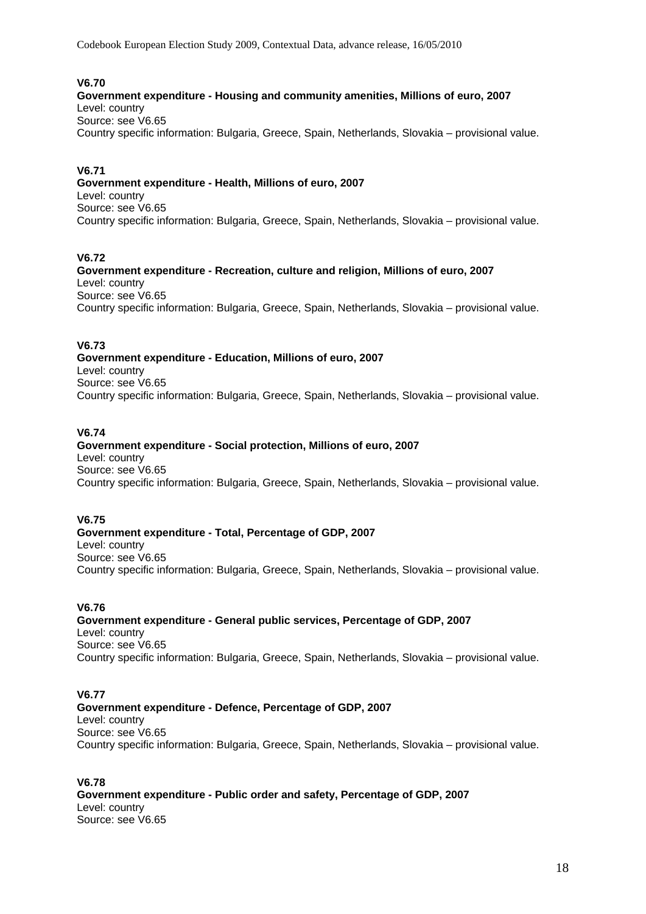Codebook European Election Study 2009, Contextual Data, advance release, 16/05/2010

# **V6.70**

# **Government expenditure - Housing and community amenities, Millions of euro, 2007**

Level: country Source: see V6.65

Country specific information: Bulgaria, Greece, Spain, Netherlands, Slovakia – provisional value.

# **V6.71**

**Government expenditure - Health, Millions of euro, 2007**  Level: country Source: see V6.65 Country specific information: Bulgaria, Greece, Spain, Netherlands, Slovakia – provisional value.

# **V6.72**

**Government expenditure - Recreation, culture and religion, Millions of euro, 2007**  Level: country Source: see V6.65 Country specific information: Bulgaria, Greece, Spain, Netherlands, Slovakia – provisional value.

# **V6.73**

**Government expenditure - Education, Millions of euro, 2007**  Level: country Source: see V6.65 Country specific information: Bulgaria, Greece, Spain, Netherlands, Slovakia – provisional value.

# **V6.74**

#### **Government expenditure - Social protection, Millions of euro, 2007**  Level: country Source: see V6.65 Country specific information: Bulgaria, Greece, Spain, Netherlands, Slovakia – provisional value.

# **V6.75**

**Government expenditure - Total, Percentage of GDP, 2007**  Level: country Source: see V6.65 Country specific information: Bulgaria, Greece, Spain, Netherlands, Slovakia – provisional value.

# **V6.76**

**Government expenditure - General public services, Percentage of GDP, 2007**  Level: country Source: see V6.65 Country specific information: Bulgaria, Greece, Spain, Netherlands, Slovakia – provisional value.

# **V6.77**

**Government expenditure - Defence, Percentage of GDP, 2007**  Level: country Source: see V6.65 Country specific information: Bulgaria, Greece, Spain, Netherlands, Slovakia – provisional value.

**V6.78 Government expenditure - Public order and safety, Percentage of GDP, 2007**  Level: country Source: see V6.65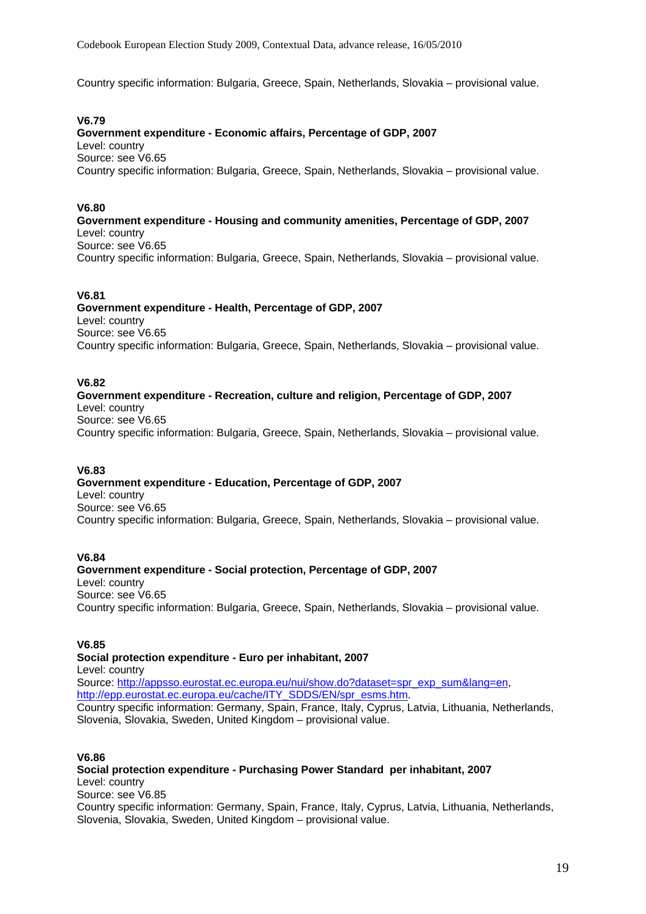Country specific information: Bulgaria, Greece, Spain, Netherlands, Slovakia – provisional value.

#### **V6.79**

**Government expenditure - Economic affairs, Percentage of GDP, 2007**  Level: country Source: see V6.65 Country specific information: Bulgaria, Greece, Spain, Netherlands, Slovakia – provisional value.

#### **V6.80**

**Government expenditure - Housing and community amenities, Percentage of GDP, 2007**  Level: country Source: see V6.65 Country specific information: Bulgaria, Greece, Spain, Netherlands, Slovakia – provisional value.

#### **V6.81**

**Government expenditure - Health, Percentage of GDP, 2007**  Level: country Source: see V6.65 Country specific information: Bulgaria, Greece, Spain, Netherlands, Slovakia – provisional value.

#### **V6.82**

# **Government expenditure - Recreation, culture and religion, Percentage of GDP, 2007**  Level: country

Source: see V6.65 Country specific information: Bulgaria, Greece, Spain, Netherlands, Slovakia – provisional value.

# **V6.83**

**Government expenditure - Education, Percentage of GDP, 2007**  Level: country Source: see V6.65 Country specific information: Bulgaria, Greece, Spain, Netherlands, Slovakia – provisional value.

#### **V6.84**

**Government expenditure - Social protection, Percentage of GDP, 2007**  Level: country Source: see V6.65 Country specific information: Bulgaria, Greece, Spain, Netherlands, Slovakia – provisional value.

#### **V6.85**

**Social protection expenditure - Euro per inhabitant, 2007**  Level: country Source: [http://appsso.eurostat.ec.europa.eu/nui/show.do?dataset=spr\\_exp\\_sum&lang=en](http://appsso.eurostat.ec.europa.eu/nui/show.do?dataset=spr_exp_sum&lang=en), [http://epp.eurostat.ec.europa.eu/cache/ITY\\_SDDS/EN/spr\\_esms.htm](http://epp.eurostat.ec.europa.eu/cache/ITY_SDDS/EN/spr_esms.htm). Country specific information: Germany, Spain, France, Italy, Cyprus, Latvia, Lithuania, Netherlands, Slovenia, Slovakia, Sweden, United Kingdom – provisional value.

#### **V6.86**

**Social protection expenditure - Purchasing Power Standard per inhabitant, 2007**  Level: country Source: see V6.85 Country specific information: Germany, Spain, France, Italy, Cyprus, Latvia, Lithuania, Netherlands, Slovenia, Slovakia, Sweden, United Kingdom – provisional value.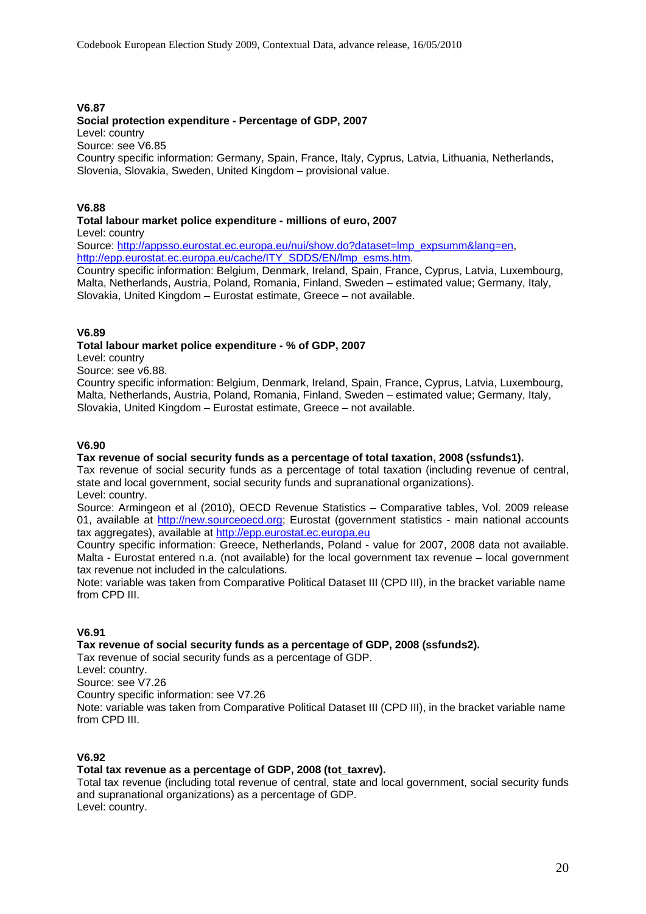# **V6.87**

# **Social protection expenditure - Percentage of GDP, 2007**

Level: country

Source: see V6.85

Country specific information: Germany, Spain, France, Italy, Cyprus, Latvia, Lithuania, Netherlands, Slovenia, Slovakia, Sweden, United Kingdom – provisional value.

#### **V6.88**

## **Total labour market police expenditure - millions of euro, 2007**

Level: country

Source: [http://appsso.eurostat.ec.europa.eu/nui/show.do?dataset=lmp\\_expsumm&lang=en](http://appsso.eurostat.ec.europa.eu/nui/show.do?dataset=lmp_expsumm&lang=en), [http://epp.eurostat.ec.europa.eu/cache/ITY\\_SDDS/EN/lmp\\_esms.htm](http://epp.eurostat.ec.europa.eu/cache/ITY_SDDS/EN/lmp_esms.htm).

Country specific information: Belgium, Denmark, Ireland, Spain, France, Cyprus, Latvia, Luxembourg, Malta, Netherlands, Austria, Poland, Romania, Finland, Sweden – estimated value; Germany, Italy, Slovakia, United Kingdom – Eurostat estimate, Greece – not available.

#### **V6.89**

#### **Total labour market police expenditure - % of GDP, 2007**

Level: country

Source: see v6.88.

Country specific information: Belgium, Denmark, Ireland, Spain, France, Cyprus, Latvia, Luxembourg, Malta, Netherlands, Austria, Poland, Romania, Finland, Sweden – estimated value; Germany, Italy, Slovakia, United Kingdom – Eurostat estimate, Greece – not available.

#### **V6.90**

# **Tax revenue of social security funds as a percentage of total taxation, 2008 (ssfunds1).**

Tax revenue of social security funds as a percentage of total taxation (including revenue of central, state and local government, social security funds and supranational organizations).

Level: country.

Source: Armingeon et al (2010), OECD Revenue Statistics – Comparative tables, Vol. 2009 release 01, available at [http://new.sourceoecd.org](http://new.sourceoecd.org/); Eurostat (government statistics - main national accounts tax aggregates), available at [http://epp.eurostat.ec.europa.eu](http://epp.eurostat.ec.europa.eu/)

Country specific information: Greece, Netherlands, Poland - value for 2007, 2008 data not available. Malta - Eurostat entered n.a. (not available) for the local government tax revenue – local government tax revenue not included in the calculations.

Note: variable was taken from Comparative Political Dataset III (CPD III), in the bracket variable name from CPD III.

# **V6.91**

#### **Tax revenue of social security funds as a percentage of GDP, 2008 (ssfunds2).**

Tax revenue of social security funds as a percentage of GDP.

Level: country.

Source: see V7.26

Country specific information: see V7.26

Note: variable was taken from Comparative Political Dataset III (CPD III), in the bracket variable name from CPD III.

# **V6.92**

#### **Total tax revenue as a percentage of GDP, 2008 (tot\_taxrev).**

Total tax revenue (including total revenue of central, state and local government, social security funds and supranational organizations) as a percentage of GDP. Level: country.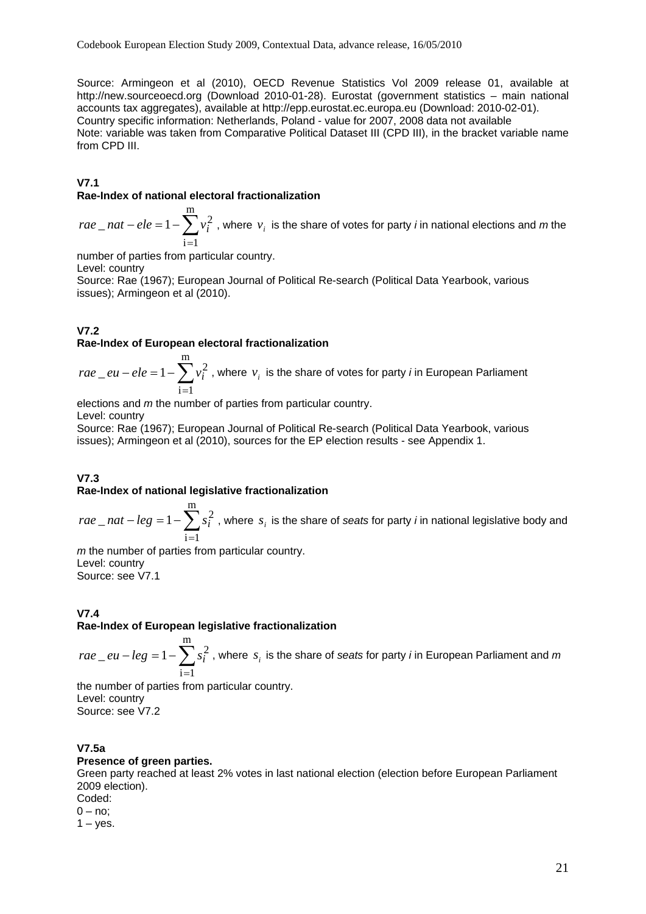Source: Armingeon et al (2010), OECD Revenue Statistics Vol 2009 release 01, available at http://new.sourceoecd.org (Download 2010-01-28). Eurostat (government statistics – main national accounts tax aggregates), available at http://epp.eurostat.ec.europa.eu (Download: 2010-02-01). Country specific information: Netherlands, Poland - value for 2007, 2008 data not available Note: variable was taken from Comparative Political Dataset III (CPD III), in the bracket variable name from CPD III.

# **V7.1**

# **Rae-Index of national electoral fractionalization**

∑ =  $-ele = 1$ m  $i=1$  $rae\_nat-ele = 1 - \sum v_i^2$  , where  $v_i$  is the share of votes for party *i* in national elections and *m* the

number of parties from particular country.

Level: country

Source: Rae (1967); European Journal of Political Re-search (Political Data Yearbook, various issues); Armingeon et al (2010).

# **V7.2**

#### **Rae-Index of European electoral fractionalization**

∑ =  $-ele = 1$ m  $i=1$  $rae\_eu-ele=1-\sum v_i^2$  , where  $v_i$  is the share of votes for party *i* in European Parliament

elections and *m* the number of parties from particular country.

Level: country

Source: Rae (1967); European Journal of Political Re-search (Political Data Yearbook, various issues); Armingeon et al (2010), sources for the EP election results - see Appendix 1.

# **V7.3**

#### **Rae-Index of national legislative fractionalization**

∑ =  $-leg = 1$ m  $i=1$  $rae\_nat-leg = 1 - \sum s_i^2$  , where  $s_i$  is the share of *seats* for party *i* in national legislative body and

*m* the number of parties from particular country. Level: country Source: see V7.1

# **V7.4**

**Rae-Index of European legislative fractionalization** 

∑ =  $-leg = 1$ m  $i=1$  $rae\_eu-leg=1-\sum s_i^2$  , where  $\,s_i$  is the share of *seats* for party *i* in European Parliament and  $m$ 

the number of parties from particular country. Level: country Source: see V7.2

# **V7.5a**

#### **Presence of green parties.**

Green party reached at least 2% votes in last national election (election before European Parliament 2009 election).

Coded:  $0 - no$ ;

 $1 - yes$ .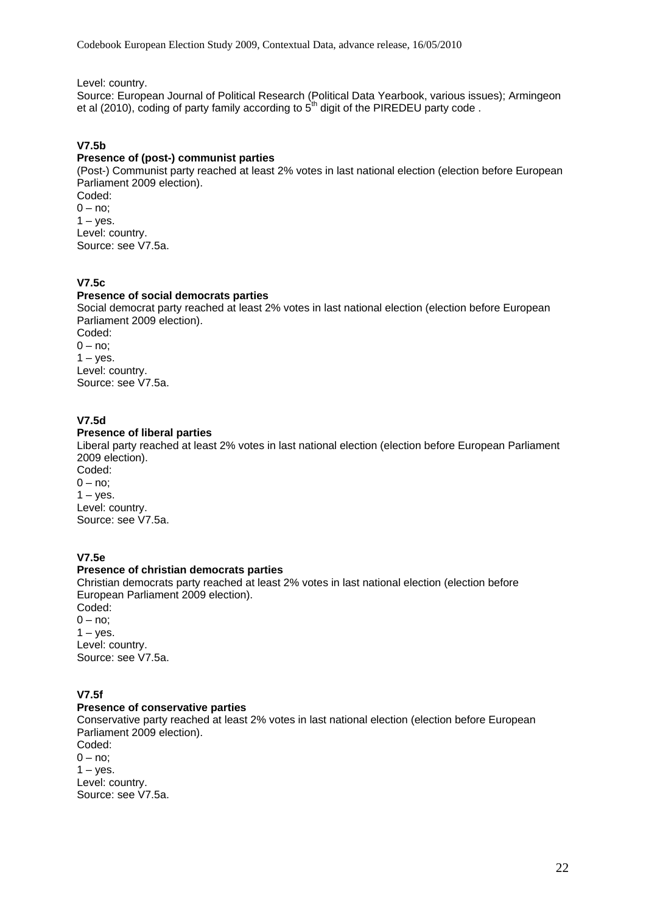Level: country.

Source: European Journal of Political Research (Political Data Yearbook, various issues); Armingeon et al (2010), coding of party family according to  $5<sup>th</sup>$  digit of the PIREDEU party code .

# **V7.5b**

# **Presence of (post-) communist parties**

(Post-) Communist party reached at least 2% votes in last national election (election before European Parliament 2009 election). Coded:

 $0 - no;$  $1 - y$ es. Level: country. Source: see V7.5a.

# **V7.5c**

#### **Presence of social democrats parties**

Social democrat party reached at least 2% votes in last national election (election before European Parliament 2009 election). Coded:  $0 - no$ ;  $1 - y$ es. Level: country.

Source: see V7.5a.

# **V7.5d**

#### **Presence of liberal parties**

Liberal party reached at least 2% votes in last national election (election before European Parliament 2009 election).

Coded:  $0 - no;$  $1 - yes$ . Level: country. Source: see V7.5a.

# **V7.5e**

#### **Presence of christian democrats parties**

Christian democrats party reached at least 2% votes in last national election (election before European Parliament 2009 election).

Coded:  $0 - no;$  $1 - yes$ . Level: country. Source: see V7.5a.

# **V7.5f**

# **Presence of conservative parties**

Conservative party reached at least 2% votes in last national election (election before European Parliament 2009 election). Coded:  $0 - no$ 

 $1 - y$ es. Level: country. Source: see V7.5a.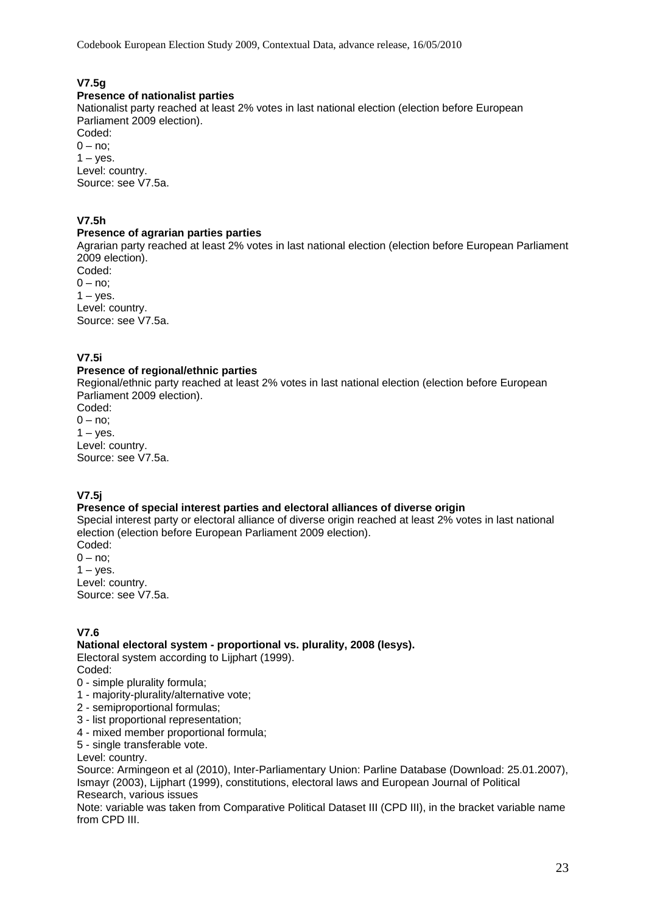Codebook European Election Study 2009, Contextual Data, advance release, 16/05/2010

# **V7.5g**

# **Presence of nationalist parties**

Nationalist party reached at least 2% votes in last national election (election before European Parliament 2009 election). Coded:

 $0 - no$ ;  $1 - \mathrm{ves}$ . Level: country. Source: see V7.5a.

# **V7.5h**

#### **Presence of agrarian parties parties**

Agrarian party reached at least 2% votes in last national election (election before European Parliament 2009 election).

Coded:  $0 - no$  $1 - yes$ . Level: country. Source: see V7.5a.

# **V7.5i**

#### **Presence of regional/ethnic parties**

Regional/ethnic party reached at least 2% votes in last national election (election before European Parliament 2009 election).

Coded:  $0 - no;$  $1 - y$ es. Level: country. Source: see V7.5a.

# **V7.5j**

# **Presence of special interest parties and electoral alliances of diverse origin**

Special interest party or electoral alliance of diverse origin reached at least 2% votes in last national election (election before European Parliament 2009 election).

Coded:  $0 - no$ :  $1 - yes$ . Level: country. Source: see V7.5a.

# **V7.6**

# **National electoral system - proportional vs. plurality, 2008 (lesys).**

Electoral system according to Lijphart (1999).

- Coded:
- 0 simple plurality formula;
- 1 majority-plurality/alternative vote;
- 2 semiproportional formulas;
- 3 list proportional representation;
- 4 mixed member proportional formula;
- 5 single transferable vote.

Level: country.

Source: Armingeon et al (2010), Inter-Parliamentary Union: Parline Database (Download: 25.01.2007), Ismayr (2003), Lijphart (1999), constitutions, electoral laws and European Journal of Political Research, various issues

Note: variable was taken from Comparative Political Dataset III (CPD III), in the bracket variable name from CPD III.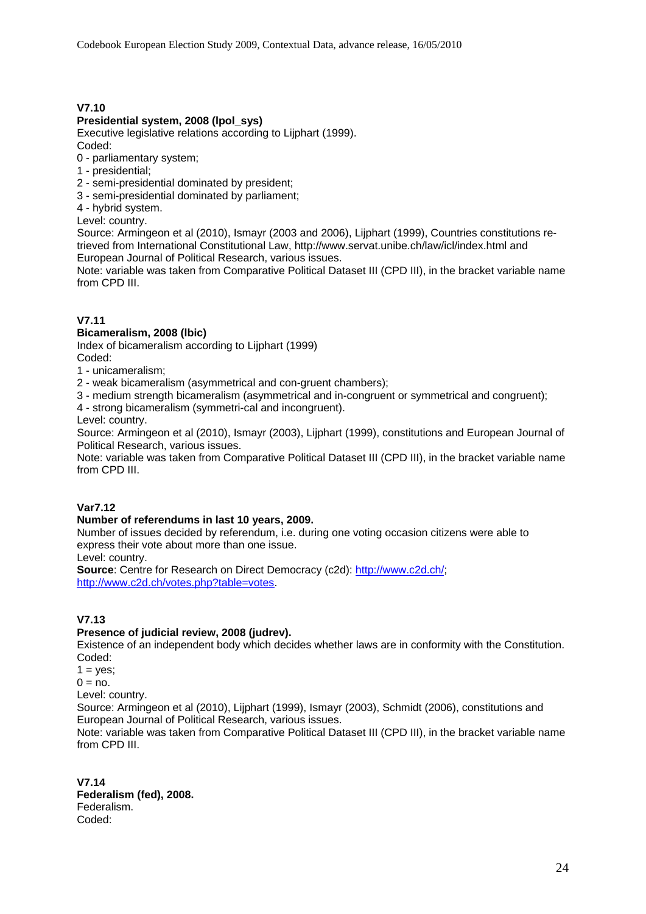# **V7.10**

#### **Presidential system, 2008 (lpol\_sys)**

Executive legislative relations according to Lijphart (1999).

Coded:

- 0 parliamentary system;
- 1 presidential;
- 2 semi-presidential dominated by president;
- 3 semi-presidential dominated by parliament;
- 4 hybrid system.

Level: country.

Source: Armingeon et al (2010), Ismayr (2003 and 2006), Lijphart (1999), Countries constitutions retrieved from International Constitutional Law, http://www.servat.unibe.ch/law/icl/index.html and European Journal of Political Research, various issues.

Note: variable was taken from Comparative Political Dataset III (CPD III), in the bracket variable name from CPD III.

#### **V7.11**

#### **Bicameralism, 2008 (lbic)**

Index of bicameralism according to Lijphart (1999)

Coded:

1 - unicameralism;

2 - weak bicameralism (asymmetrical and con-gruent chambers);

3 - medium strength bicameralism (asymmetrical and in-congruent or symmetrical and congruent);

4 - strong bicameralism (symmetri-cal and incongruent).

Level: country.

Source: Armingeon et al (2010), Ismayr (2003), Lijphart (1999), constitutions and European Journal of Political Research, various issues.

Note: variable was taken from Comparative Political Dataset III (CPD III), in the bracket variable name from CPD III.

#### **Var7.12**

# **Number of referendums in last 10 years, 2009.**

Number of issues decided by referendum, i.e. during one voting occasion citizens were able to express their vote about more than one issue.

Level: country.

**Source**: Centre for Research on Direct Democracy (c2d): [http://www.c2d.ch/;](http://www.c2d.ch/) [http://www.c2d.ch/votes.php?table=votes.](http://www.c2d.ch/votes.php?table=votes)

#### **V7.13**

#### **Presence of judicial review, 2008 (judrev).**

Existence of an independent body which decides whether laws are in conformity with the Constitution. Coded:

 $1 = yes$ ;

 $0 = no$ .

Level: country.

Source: Armingeon et al (2010), Lijphart (1999), Ismayr (2003), Schmidt (2006), constitutions and European Journal of Political Research, various issues.

Note: variable was taken from Comparative Political Dataset III (CPD III), in the bracket variable name from CPD III.

**V7.14 Federalism (fed), 2008.**  Federalism. Coded: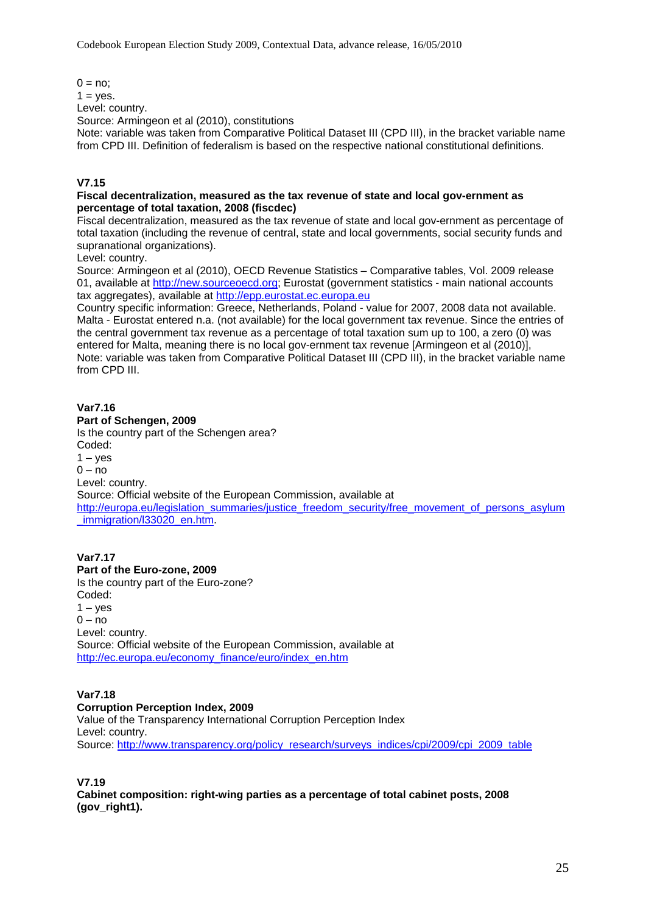$0 = no$ :  $1 = yes$ . Level: country. Source: Armingeon et al (2010), constitutions Note: variable was taken from Comparative Political Dataset III (CPD III), in the bracket variable name from CPD III. Definition of federalism is based on the respective national constitutional definitions.

# **V7.15**

#### **Fiscal decentralization, measured as the tax revenue of state and local gov-ernment as percentage of total taxation, 2008 (fiscdec)**

Fiscal decentralization, measured as the tax revenue of state and local gov-ernment as percentage of total taxation (including the revenue of central, state and local governments, social security funds and supranational organizations).

Level: country.

Source: Armingeon et al (2010), OECD Revenue Statistics – Comparative tables, Vol. 2009 release 01, available at [http://new.sourceoecd.org](http://new.sourceoecd.org/): Eurostat (government statistics - main national accounts tax aggregates), available at [http://epp.eurostat.ec.europa.eu](http://epp.eurostat.ec.europa.eu/)

Country specific information: Greece, Netherlands, Poland - value for 2007, 2008 data not available. Malta - Eurostat entered n.a. (not available) for the local government tax revenue. Since the entries of the central government tax revenue as a percentage of total taxation sum up to 100, a zero (0) was entered for Malta, meaning there is no local gov-ernment tax revenue [Armingeon et al (2010)], Note: variable was taken from Comparative Political Dataset III (CPD III), in the bracket variable name from CPD III.

#### **Var7.16**

#### **Part of Schengen, 2009**

Is the country part of the Schengen area? Coded:  $1 - yes$  $0 - no$ Level: country. Source: Official website of the European Commission, available at [http://europa.eu/legislation\\_summaries/justice\\_freedom\\_security/free\\_movement\\_of\\_persons\\_asylum](http://europa.eu/legislation_summaries/justice_freedom_security/free_movement_of_persons_asylum_immigration/l33020_en.htm) [\\_immigration/l33020\\_en.htm](http://europa.eu/legislation_summaries/justice_freedom_security/free_movement_of_persons_asylum_immigration/l33020_en.htm).

# **Var7.17**

**Part of the Euro-zone, 2009**  Is the country part of the Euro-zone? Coded:  $1 - yes$  $0 - \overline{p}$ Level: country. Source: Official website of the European Commission, available at [http://ec.europa.eu/economy\\_finance/euro/index\\_en.htm](http://ec.europa.eu/economy_finance/euro/index_en.htm)

#### **Var7.18**

#### **Corruption Perception Index, 2009**

Value of the Transparency International Corruption Perception Index Level: country. Source: [http://www.transparency.org/policy\\_research/surveys\\_indices/cpi/2009/cpi\\_2009\\_table](http://www.transparency.org/policy_research/surveys_indices/cpi/2009/cpi_2009_table)

**V7.19** 

**Cabinet composition: right-wing parties as a percentage of total cabinet posts, 2008 (gov\_right1).**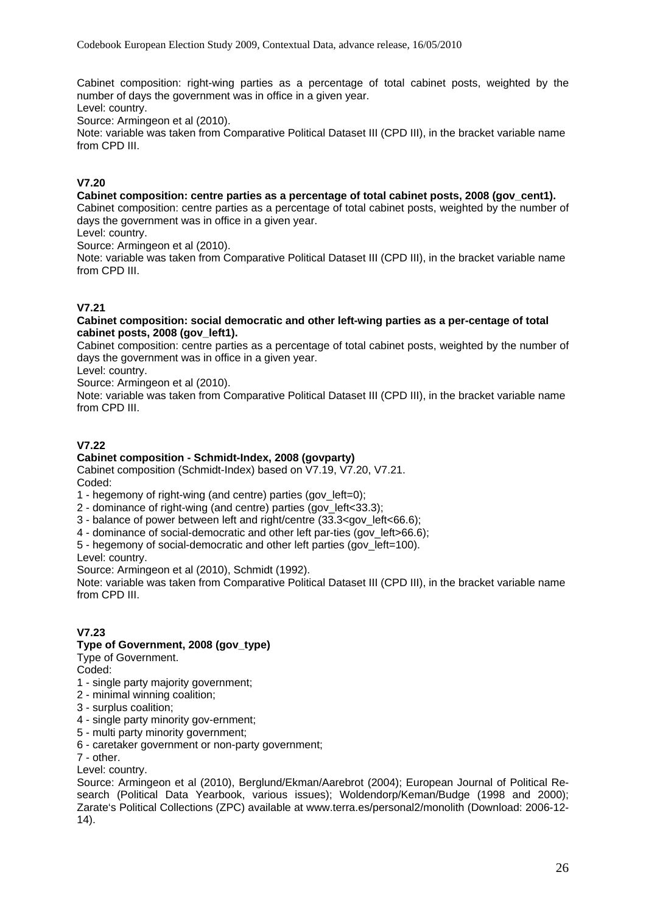Cabinet composition: right-wing parties as a percentage of total cabinet posts, weighted by the number of days the government was in office in a given year.

Level: country.

Source: Armingeon et al (2010).

Note: variable was taken from Comparative Political Dataset III (CPD III), in the bracket variable name from CPD III.

# **V7.20**

# **Cabinet composition: centre parties as a percentage of total cabinet posts, 2008 (gov\_cent1).**

Cabinet composition: centre parties as a percentage of total cabinet posts, weighted by the number of days the government was in office in a given year.

Level: country.

Source: Armingeon et al (2010).

Note: variable was taken from Comparative Political Dataset III (CPD III), in the bracket variable name from CPD III.

# **V7.21**

#### **Cabinet composition: social democratic and other left-wing parties as a per-centage of total cabinet posts, 2008 (gov\_left1).**

Cabinet composition: centre parties as a percentage of total cabinet posts, weighted by the number of days the government was in office in a given year.

Level: country.

Source: Armingeon et al (2010).

Note: variable was taken from Comparative Political Dataset III (CPD III), in the bracket variable name from CPD III.

# **V7.22**

# **Cabinet composition - Schmidt-Index, 2008 (govparty)**

Cabinet composition (Schmidt-Index) based on V7.19, V7.20, V7.21. Coded:

1 - hegemony of right-wing (and centre) parties (gov\_left=0);

2 - dominance of right-wing (and centre) parties (gov\_left<33.3);

3 - balance of power between left and right/centre (33.3<gov\_left<66.6);

4 - dominance of social-democratic and other left par-ties (gov\_left>66.6);

5 - hegemony of social-democratic and other left parties (gov\_left=100).

Level: country.

Source: Armingeon et al (2010), Schmidt (1992).

Note: variable was taken from Comparative Political Dataset III (CPD III), in the bracket variable name from CPD III.

# **V7.23**

# **Type of Government, 2008 (gov\_type)**

Type of Government.

Coded:

- 1 single party majority government;
- 2 minimal winning coalition;
- 3 surplus coalition;
- 4 single party minority gov-ernment;
- 5 multi party minority government;
- 6 caretaker government or non-party government;
- 7 other.

Level: country.

Source: Armingeon et al (2010), Berglund/Ekman/Aarebrot (2004); European Journal of Political Research (Political Data Yearbook, various issues); Woldendorp/Keman/Budge (1998 and 2000); Zarate's Political Collections (ZPC) available at www.terra.es/personal2/monolith (Download: 2006-12- 14).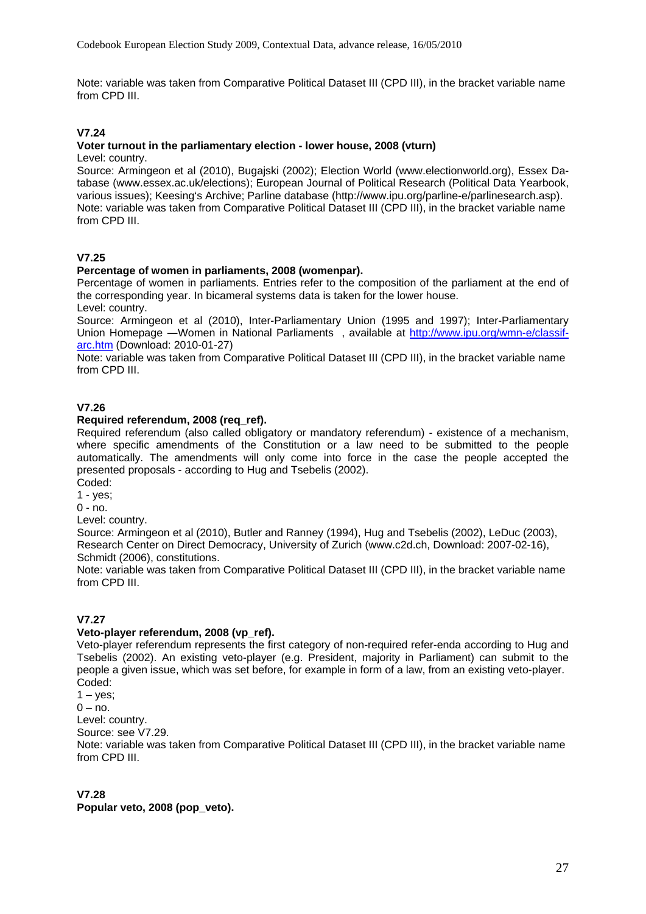Note: variable was taken from Comparative Political Dataset III (CPD III), in the bracket variable name from CPD III.

# **V7.24**

# **Voter turnout in the parliamentary election - lower house, 2008 (vturn)**

Level: country.

Source: Armingeon et al (2010), Bugajski (2002); Election World (www.electionworld.org), Essex Database (www.essex.ac.uk/elections); European Journal of Political Research (Political Data Yearbook, various issues); Keesing's Archive; Parline database (http://www.ipu.org/parline-e/parlinesearch.asp). Note: variable was taken from Comparative Political Dataset III (CPD III), in the bracket variable name from CPD III.

# **V7.25**

# **Percentage of women in parliaments, 2008 (womenpar).**

Percentage of women in parliaments. Entries refer to the composition of the parliament at the end of the corresponding year. In bicameral systems data is taken for the lower house. Level: country.

Source: Armingeon et al (2010), Inter-Parliamentary Union (1995 and 1997); Inter-Parliamentary Union Homepage —Women in National Parliaments, available at [http://www.ipu.org/wmn-e/classif](http://www.ipu.org/wmn-e/classif-arc.htm)[arc.htm](http://www.ipu.org/wmn-e/classif-arc.htm) (Download: 2010-01-27)

Note: variable was taken from Comparative Political Dataset III (CPD III), in the bracket variable name from CPD III.

# **V7.26**

#### **Required referendum, 2008 (req\_ref).**

Required referendum (also called obligatory or mandatory referendum) - existence of a mechanism, where specific amendments of the Constitution or a law need to be submitted to the people automatically. The amendments will only come into force in the case the people accepted the presented proposals - according to Hug and Tsebelis (2002).

Coded:

1 - yes;

 $0 - \text{no}$ .

Level: country.

Source: Armingeon et al (2010), Butler and Ranney (1994), Hug and Tsebelis (2002), LeDuc (2003), Research Center on Direct Democracy, University of Zurich (www.c2d.ch, Download: 2007-02-16), Schmidt (2006), constitutions.

Note: variable was taken from Comparative Political Dataset III (CPD III), in the bracket variable name from CPD III.

#### **V7.27**

#### **Veto-player referendum, 2008 (vp\_ref).**

Veto-player referendum represents the first category of non-required refer-enda according to Hug and Tsebelis (2002). An existing veto-player (e.g. President, majority in Parliament) can submit to the people a given issue, which was set before, for example in form of a law, from an existing veto-player. Coded:

 $1 - yes$ ;

 $0 - no$ .

Level: country.

Source: see V7.29.

Note: variable was taken from Comparative Political Dataset III (CPD III), in the bracket variable name from CPD III.

#### **V7.28**

**Popular veto, 2008 (pop\_veto).**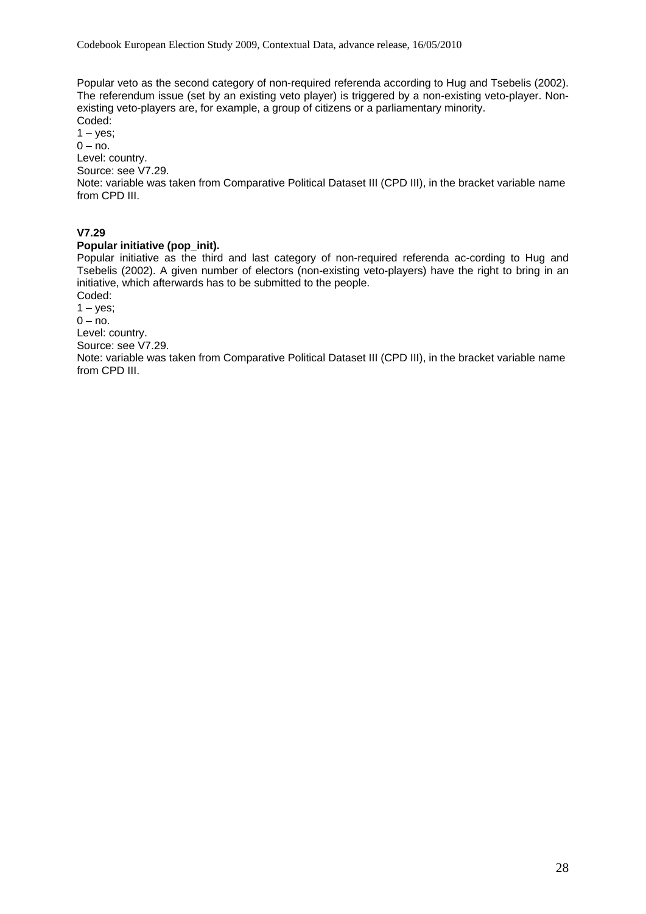Popular veto as the second category of non-required referenda according to Hug and Tsebelis (2002). The referendum issue (set by an existing veto player) is triggered by a non-existing veto-player. Nonexisting veto-players are, for example, a group of citizens or a parliamentary minority. Coded:

 $1 - yes;$  $0 - no.$ Level: country. Source: see V7.29.

Note: variable was taken from Comparative Political Dataset III (CPD III), in the bracket variable name from CPD III.

# **V7.29**

# **Popular initiative (pop\_init).**

Popular initiative as the third and last category of non-required referenda ac-cording to Hug and Tsebelis (2002). A given number of electors (non-existing veto-players) have the right to bring in an initiative, which afterwards has to be submitted to the people.

Coded:

 $1 - \text{ves}$ ;

 $0 - no$ .

Level: country.

Source: see V7.29.

Note: variable was taken from Comparative Political Dataset III (CPD III), in the bracket variable name from CPD III.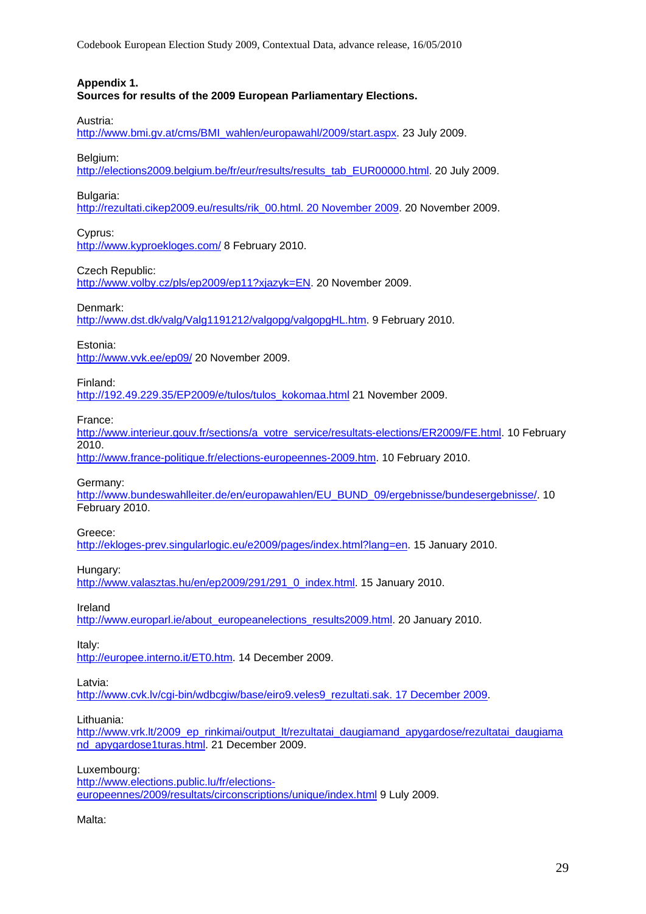Codebook European Election Study 2009, Contextual Data, advance release, 16/05/2010

#### **Appendix 1.**

**Sources for results of the 2009 European Parliamentary Elections.** 

Austria:

[http://www.bmi.gv.at/cms/BMI\\_wahlen/europawahl/2009/start.aspx.](http://www.bmi.gv.at/cms/BMI_wahlen/europawahl/2009/start.aspx) 23 July 2009.

Belgium:

[http://elections2009.belgium.be/fr/eur/results/results\\_tab\\_EUR00000.html.](http://elections2009.belgium.be/fr/eur/results/results_tab_EUR00000.html) 20 July 2009.

Bulgaria:

[http://rezultati.cikep2009.eu/results/rik\\_00.html. 20 November 2009.](http://rezultati.cikep2009.eu/results/rik_00.html.%2020%20November%202009) 20 November 2009.

Cyprus:

<http://www.kyproekloges.com/>8 February 2010.

#### Czech Republic:

<http://www.volby.cz/pls/ep2009/ep11?xjazyk=EN>. 20 November 2009.

#### Denmark:

[http://www.dst.dk/valg/Valg1191212/valgopg/valgopgHL.htm.](http://www.dst.dk/valg/Valg1191212/valgopg/valgopgHL.htm) 9 February 2010.

Estonia:

<http://www.vvk.ee/ep09/> 20 November 2009.

Finland:

[http://192.49.229.35/EP2009/e/tulos/tulos\\_kokomaa.html](http://192.49.229.35/EP2009/e/tulos/tulos_kokomaa.html) 21 November 2009.

France:

[http://www.interieur.gouv.fr/sections/a\\_votre\\_service/resultats-elections/ER2009/FE.html](http://www.interieur.gouv.fr/sections/a_votre_service/resultats-elections/ER2009/FE.html). 10 February 2010.

[http://www.france-politique.fr/elections-europeennes-2009.htm.](http://www.france-politique.fr/elections-europeennes-2009.htm) 10 February 2010.

Germany:

[http://www.bundeswahlleiter.de/en/europawahlen/EU\\_BUND\\_09/ergebnisse/bundesergebnisse/.](http://www.bundeswahlleiter.de/en/europawahlen/EU_BUND_09/ergebnisse/bundesergebnisse/) 10 February 2010.

Greece:

[http://ekloges-prev.singularlogic.eu/e2009/pages/index.html?lang=en.](http://ekloges-prev.singularlogic.eu/e2009/pages/index.html?lang=en) 15 January 2010.

Hungary:

[http://www.valasztas.hu/en/ep2009/291/291\\_0\\_index.html](http://www.valasztas.hu/en/ep2009/291/291_0_index.html). 15 January 2010.

Ireland

[http://www.europarl.ie/about\\_europeanelections\\_results2009.html.](http://www.europarl.ie/about_europeanelections_results2009.html) 20 January 2010.

Italy:

<http://europee.interno.it/ET0.htm>. 14 December 2009.

Latvia:

http://www.cvk.lv/cqi-bin/wdbcqiw/base/eiro9.veles9\_rezultati.sak. 17 December 2009.

#### Lithuania:

[http://www.vrk.lt/2009\\_ep\\_rinkimai/output\\_lt/rezultatai\\_daugiamand\\_apygardose/rezultatai\\_daugiama](http://www.vrk.lt/2009_ep_rinkimai/output_lt/rezultatai_daugiamand_apygardose/rezultatai_daugiamand_apygardose1turas.html) [nd\\_apygardose1turas.html](http://www.vrk.lt/2009_ep_rinkimai/output_lt/rezultatai_daugiamand_apygardose/rezultatai_daugiamand_apygardose1turas.html). 21 December 2009.

Luxembourg:

[http://www.elections.public.lu/fr/elections](http://www.elections.public.lu/fr/elections-europeennes/2009/resultats/circonscriptions/unique/index.html)[europeennes/2009/resultats/circonscriptions/unique/index.html](http://www.elections.public.lu/fr/elections-europeennes/2009/resultats/circonscriptions/unique/index.html) 9 Luly 2009.

Malta: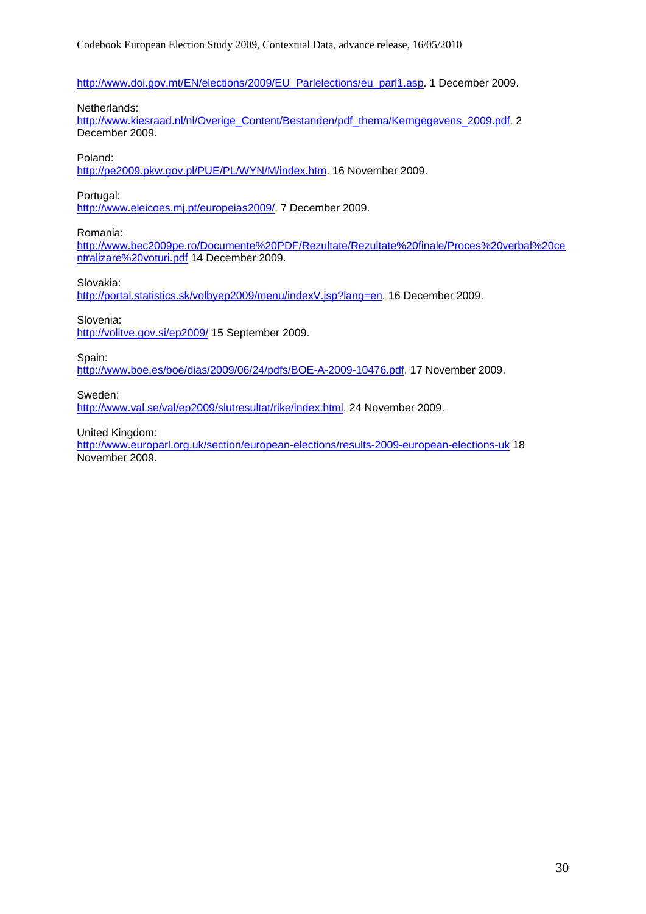[http://www.doi.gov.mt/EN/elections/2009/EU\\_Parlelections/eu\\_parl1.asp.](http://www.doi.gov.mt/EN/elections/2009/EU_Parlelections/eu_parl1.asp) 1 December 2009.

#### Netherlands:

[http://www.kiesraad.nl/nl/Overige\\_Content/Bestanden/pdf\\_thema/Kerngegevens\\_2009.pdf](http://www.kiesraad.nl/nl/Overige_Content/Bestanden/pdf_thema/Kerngegevens_2009.pdf). 2 December 2009.

#### Poland:

<http://pe2009.pkw.gov.pl/PUE/PL/WYN/M/index.htm>. 16 November 2009.

#### Portugal:

<http://www.eleicoes.mj.pt/europeias2009/>. 7 December 2009.

Romania:

[http://www.bec2009pe.ro/Documente%20PDF/Rezultate/Rezultate%20finale/Proces%20verbal%20ce](http://www.bec2009pe.ro/Documente%20PDF/Rezultate/Rezultate%20finale/Proces%20verbal%20centralizare%20voturi.pdf) [ntralizare%20voturi.pdf](http://www.bec2009pe.ro/Documente%20PDF/Rezultate/Rezultate%20finale/Proces%20verbal%20centralizare%20voturi.pdf) 14 December 2009.

Slovakia:

[http://portal.statistics.sk/volbyep2009/menu/indexV.jsp?lang=en.](http://portal.statistics.sk/volbyep2009/menu/indexV.jsp?lang=en) 16 December 2009.

Slovenia:

<http://volitve.gov.si/ep2009/> 15 September 2009.

Spain:

[http://www.boe.es/boe/dias/2009/06/24/pdfs/BOE-A-2009-10476.pdf.](http://www.boe.es/boe/dias/2009/06/24/pdfs/BOE-A-2009-10476.pdf) 17 November 2009.

Sweden:

[http://www.val.se/val/ep2009/slutresultat/rike/index.html.](http://www.val.se/val/ep2009/slutresultat/rike/index.html) 24 November 2009.

United Kingdom:

<http://www.europarl.org.uk/section/european-elections/results-2009-european-elections-uk> 18 November 2009.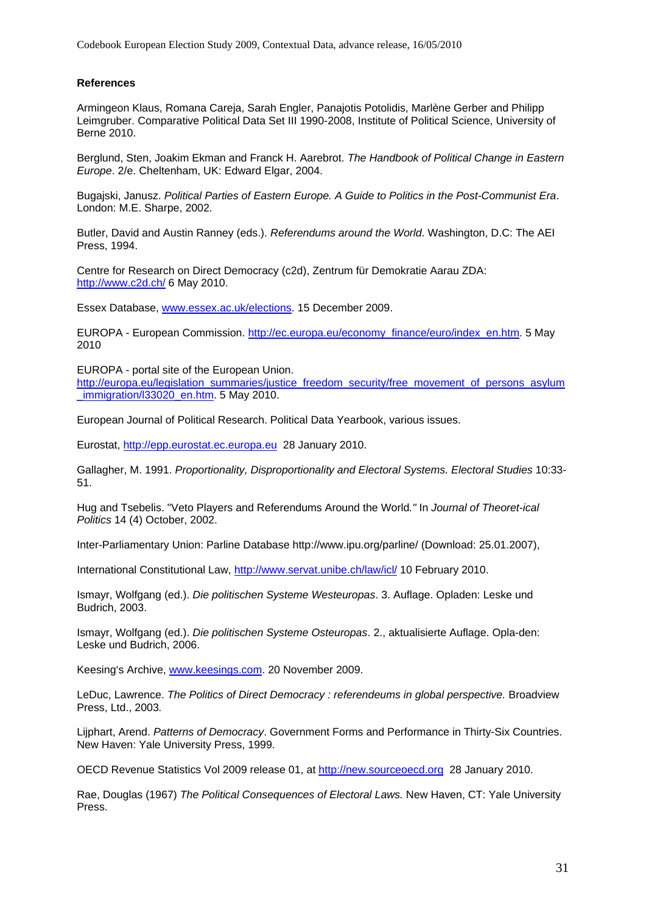Codebook European Election Study 2009, Contextual Data, advance release, 16/05/2010

#### **References**

Armingeon Klaus, Romana Careja, Sarah Engler, Panajotis Potolidis, Marlène Gerber and Philipp Leimgruber. Comparative Political Data Set III 1990-2008, Institute of Political Science, University of Berne 2010.

Berglund, Sten, Joakim Ekman and Franck H. Aarebrot. *The Handbook of Political Change in Eastern Europe*. 2/e. Cheltenham, UK: Edward Elgar, 2004.

Bugajski, Janusz. *Political Parties of Eastern Europe. A Guide to Politics in the Post-Communist Era*. London: M.E. Sharpe, 2002.

Butler, David and Austin Ranney (eds.). *Referendums around the World*. Washington, D.C: The AEI Press, 1994.

Centre for Research on Direct Democracy (c2d), Zentrum für Demokratie Aarau ZDA: <http://www.c2d.ch/>6 May 2010.

Essex Database, [www.essex.ac.uk/elections.](http://www.essex.ac.uk/elections) 15 December 2009.

EUROPA - European Commission. [http://ec.europa.eu/economy\\_finance/euro/index\\_en.htm.](http://ec.europa.eu/economy_finance/euro/index_en.htm) 5 May 2010

EUROPA - portal site of the European Union.

[http://europa.eu/legislation\\_summaries/justice\\_freedom\\_security/free\\_movement\\_of\\_persons\\_asylum](http://europa.eu/legislation_summaries/justice_freedom_security/free_movement_of_persons_asylum_immigration/l33020_en.htm) immigration/l33020\_en.htm. 5 May 2010.

European Journal of Political Research. Political Data Yearbook, various issues.

Eurostat, [http://epp.eurostat.ec.europa.eu](http://epp.eurostat.ec.europa.eu/) 28 January 2010.

Gallagher, M. 1991. *Proportionality, Disproportionality and Electoral Systems. Electoral Studies* 10:33- 51.

Hug and Tsebelis. "Veto Players and Referendums Around the World*."* In *Journal of Theoret-ical Politics* 14 (4) October, 2002.

Inter-Parliamentary Union: Parline Database http://www.ipu.org/parline/ (Download: 25.01.2007),

International Constitutional Law,<http://www.servat.unibe.ch/law/icl/> 10 February 2010.

Ismayr, Wolfgang (ed.). *Die politischen Systeme Westeuropas*. 3. Auflage. Opladen: Leske und Budrich, 2003.

Ismayr, Wolfgang (ed.). *Die politischen Systeme Osteuropas*. 2., aktualisierte Auflage. Opla-den: Leske und Budrich, 2006.

Keesing's Archive, [www.keesings.com.](http://www.keesings.com/) 20 November 2009.

LeDuc, Lawrence. The Politics of Direct Democracy : referendeums in global perspective. Broadview Press, Ltd., 2003*.* 

Lijphart, Arend. *Patterns of Democracy*. Government Forms and Performance in Thirty-Six Countries. New Haven: Yale University Press, 1999.

OECD Revenue Statistics Vol 2009 release 01, at [http://new.sourceoecd.org](http://new.sourceoecd.org/) 28 January 2010.

Rae, Douglas (1967) *The Political Consequences of Electoral Laws.* New Haven, CT: Yale University Press.